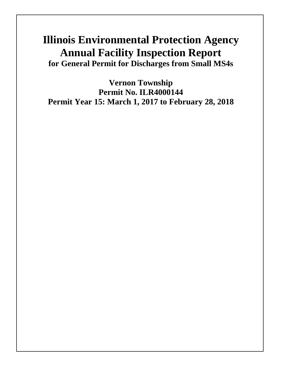# **Illinois Environmental Protection Agency Annual Facility Inspection Report for General Permit for Discharges from Small MS4s**

**Vernon Township Permit No. ILR4000144 Permit Year 15: March 1, 2017 to February 28, 2018**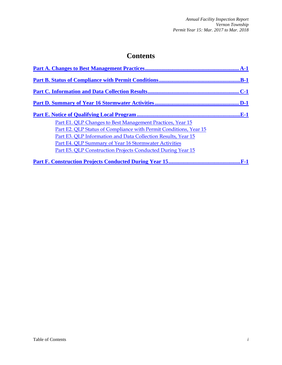# **Contents**

| Part E1. QLP Changes to Best Management Practices, Year 15         |
|--------------------------------------------------------------------|
| Part E2. QLP Status of Compliance with Permit Conditions, Year 15  |
| Part E3. QLP Information and Data Collection Results, Year 15      |
| Part E4. QLP Summary of Year 16 Stormwater Activities              |
| <b>Part E5. QLP Construction Projects Conducted During Year 15</b> |
| ${\bf F}\text{-}1$                                                 |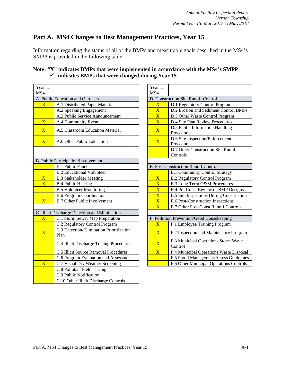# <span id="page-2-0"></span>**Part A. MS4 Changes to Best Management Practices, Year 15**

Information regarding the status of all of the BMPs and measurable goals described in the MS4's SMPP is provided in the following table.

### **Note: "X" indicates BMPs that were implemented in accordance with the MS4's SMPP indicates BMPs that were changed during Year 15**

| Year 15                 |                                                  | Year 15                 |                                               |
|-------------------------|--------------------------------------------------|-------------------------|-----------------------------------------------|
| MS4                     |                                                  | MS4                     |                                               |
|                         | A. Public Education and Outreach                 |                         | D. Construction Site Runoff Control           |
| $\overline{\mathbf{X}}$ | A.1 Distributed Paper Material                   | $\overline{\text{X}}$   | D.1 Regulatory Control Program                |
|                         | A.2 Speaking Engagement                          | $\overline{\mathbf{X}}$ | D.2 Erosion and Sediment Control              |
|                         | A.3 Public Service Announcement                  | $\overline{\text{X}}$   | D.3 Other Waste Control Program               |
| $\overline{\mathbf{X}}$ | A.4 Community Event                              | $\overline{\mathbf{X}}$ | D.4 Site Plan Review Procedures               |
| $\overline{\mathbf{X}}$ | A.5 Classroom Education Material                 | $\overline{\mathbf{X}}$ | D.5 Public Information Handling<br>Procedures |
| $\overline{\mathbf{X}}$ | A.6 Other Public Education                       | $\overline{\mathbf{X}}$ | D.6 Site Inspection/Enforcement<br>Procedures |
|                         |                                                  |                         | D.7 Other Construction Site Runo<br>Controls  |
|                         | B. Public Participation/Involvement              |                         |                                               |
|                         | <b>B.1 Public Panel</b>                          |                         | E. Post-Construction Runoff Control           |
|                         | <b>B.2 Educational Volunteer</b>                 |                         | E.1 Community Control Strategy                |
| $\overline{\text{X}}$   | <b>B.3 Stakeholder Meeting</b>                   | $\overline{\mathbf{X}}$ | E.2 Regulatory Control Program                |
| $\overline{\text{X}}$   | <b>B.4 Public Hearing</b>                        | $\overline{\mathbf{X}}$ | E.3 Long Term O&M Procedures                  |
|                         | <b>B.5 Volunteer Monitoring</b>                  | $\overline{\text{X}}$   | E.4 Pre-Const Review of BMP De                |
|                         | <b>B.6 Program Coordination</b>                  | $\overline{\mathbf{X}}$ | E.5 Site Inspections During Const             |
| $\overline{\mathbf{X}}$ | <b>B.7 Other Public Involvement</b>              | $\overline{\mathbf{X}}$ | E.6 Post-Construction Inspections             |
|                         |                                                  | $\overline{\mathbf{X}}$ | E.7 Other Post-Const Runoff Cont              |
|                         | C. Illicit Discharge Detection and Elimination   |                         |                                               |
| $\overline{\text{X}}$   | C.1 Storm Sewer Map Preparation                  |                         | F. Pollution Prevention/Good Housekeeping     |
|                         | C.2 Regulatory Control Program                   | $\overline{\text{X}}$   | F.1 Employee Training Program                 |
| $\overline{\mathbf{X}}$ | C.3 Detection/Elimination Prioritization<br>Plan | $\overline{\mathbf{X}}$ | F.2 Inspection and Maintenance P              |
|                         | C.4 Illicit Discharge Tracing Procedures         | $\overline{\mathbf{X}}$ | F.3 Municipal Operations Storm V<br>Control   |
|                         | C.5 Illicit Source Removal Procedures            | $\overline{\textbf{X}}$ | F.4 Municipal Operations Waste I              |
|                         | C.6 Program Evaluation and Assessment            |                         | F.5 Flood Management/Assess Gu                |
| $\overline{\textbf{X}}$ | C.7 Visual Dry Weather Screening                 |                         | F.6 Other Municipal Operations C              |
|                         | C.8 Pollutant Field Testing                      |                         |                                               |
|                         | C.9 Public Notification                          |                         |                                               |
|                         | C.10 Other Illicit Discharge Controls            |                         |                                               |
|                         |                                                  |                         |                                               |

| ar 15                         |                                                  | Year 15                 |                                                 |
|-------------------------------|--------------------------------------------------|-------------------------|-------------------------------------------------|
| $\overline{4}$                |                                                  | MS4                     |                                                 |
| Public Education and Outreach |                                                  |                         | D. Construction Site Runoff Control             |
| $\overline{\text{X}}$         | A.1 Distributed Paper Material                   | $\overline{\text{X}}$   | D.1 Regulatory Control Program                  |
|                               | A.2 Speaking Engagement                          | $\overline{\text{X}}$   | D.2 Erosion and Sediment Control BMPs           |
|                               | A.3 Public Service Announcement                  | $\overline{\textbf{X}}$ | D.3 Other Waste Control Program                 |
| $\overline{\text{X}}$         | A.4 Community Event                              | $\overline{\text{X}}$   | D.4 Site Plan Review Procedures                 |
| $\overline{\text{X}}$         | A.5 Classroom Education Material                 | $\overline{\mathbf{X}}$ | D.5 Public Information Handling<br>Procedures   |
| $\overline{\text{X}}$         | A.6 Other Public Education                       | $\overline{\mathbf{X}}$ | D.6 Site Inspection/Enforcement<br>Procedures   |
|                               |                                                  |                         | D.7 Other Construction Site Runoff<br>Controls  |
|                               | Public Participation/Involvement                 |                         |                                                 |
|                               | <b>B.1 Public Panel</b>                          |                         | E. Post-Construction Runoff Control             |
|                               | <b>B.2 Educational Volunteer</b>                 |                         | E.1 Community Control Strategy                  |
| $\overline{\text{X}}$         | <b>B.3 Stakeholder Meeting</b>                   | $\overline{\textbf{X}}$ | E.2 Regulatory Control Program                  |
| $\overline{\text{X}}$         | <b>B.4 Public Hearing</b>                        | $\overline{\text{X}}$   | E.3 Long Term O&M Procedures                    |
|                               | <b>B.5 Volunteer Monitoring</b>                  | $\overline{\mathbf{X}}$ | E.4 Pre-Const Review of BMP Designs             |
|                               | <b>B.6 Program Coordination</b>                  | $\overline{\textbf{X}}$ | E.5 Site Inspections During Construction        |
| $\overline{\text{X}^+}$       | <b>B.7 Other Public Involvement</b>              | $\overline{\text{X}}$   | E.6 Post-Construction Inspections               |
|                               |                                                  | $\overline{\text{X}}$   | E.7 Other Post-Const Runoff Controls            |
|                               | Illicit Discharge Detection and Elimination      |                         |                                                 |
| $\overline{\text{X}}$         | C.1 Storm Sewer Map Preparation                  |                         | F. Pollution Prevention/Good Housekeeping       |
|                               | C.2 Regulatory Control Program                   | $\overline{\text{X}}$   | F.1 Employee Training Program                   |
| $\overline{\text{X}}$         | C.3 Detection/Elimination Prioritization<br>Plan | $\overline{X}$          | F.2 Inspection and Maintenance Program          |
|                               | C.4 Illicit Discharge Tracing Procedures         | $\overline{\mathbf{X}}$ | F.3 Municipal Operations Storm Water<br>Control |
|                               | C.5 Illicit Source Removal Procedures            | $\overline{\mathbf{X}}$ | F.4 Municipal Operations Waste Disposal         |
|                               | C.6 Program Evaluation and Assessment            |                         | F.5 Flood Management/Assess Guidelines          |
| $\overline{\text{X}}$         | C.7 Visual Dry Weather Screening                 |                         | F.6 Other Municipal Operations Controls         |
|                               | $C_0$ $D_0$ llutont $E_0$ old $T_0$ oting        |                         |                                                 |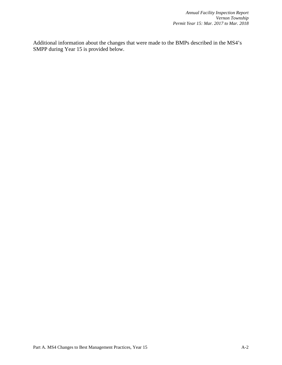Additional information about the changes that were made to the BMPs described in the MS4's SMPP during Year 15 is provided below.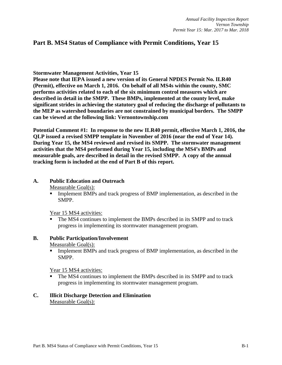# <span id="page-4-0"></span>**Part B. MS4 Status of Compliance with Permit Conditions, Year 15**

**Stormwater Management Activities, Year 15**

**Please note that IEPA issued a new version of its General NPDES Permit No. ILR40 (Permit), effective on March 1, 2016. On behalf of all MS4s within the county, SMC performs activities related to each of the six minimum control measures which are described in detail in the SMPP. These BMPs, implemented at the county level, make significant strides in achieving the statutory goal of reducing the discharge of pollutants to the MEP as watershed boundaries are not constrained by municipal borders. The SMPP can be viewed at the following link: Vernontownship.com**

**Potential Comment #1: In response to the new ILR40 permit, effective March 1, 2016, the QLP issued a revised SMPP template in November of 2016 (near the end of Year 14). During Year 15, the MS4 reviewed and revised its SMPP. The stormwater management activities that the MS4 performed during Year 15, including the MS4's BMPs and measurable goals, are described in detail in the revised SMPP. A copy of the annual tracking form is included at the end of Part B of this report.**

### **A. Public Education and Outreach**

Measurable Goal(s):

 Implement BMPs and track progress of BMP implementation, as described in the SMPP.

Year 15 MS4 activities:

 The MS4 continues to implement the BMPs described in its SMPP and to track progress in implementing its stormwater management program.

### **B. Public Participation/Involvement**

Measurable Goal(s):

Implement BMPs and track progress of BMP implementation, as described in the SMPP.

Year 15 MS4 activities:

 The MS4 continues to implement the BMPs described in its SMPP and to track progress in implementing its stormwater management program.

### **C. Illicit Discharge Detection and Elimination** Measurable Goal(s):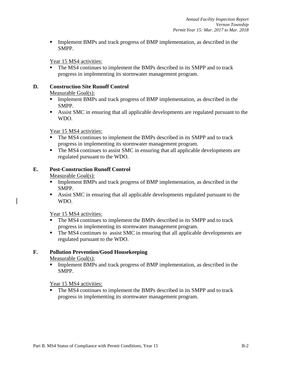**Implement BMPs and track progress of BMP implementation, as described in the** SMPP.

Year 15 MS4 activities:

 The MS4 continues to implement the BMPs described in its SMPP and to track progress in implementing its stormwater management program.

### **D. Construction Site Runoff Control**

### Measurable Goal(s):

- Implement BMPs and track progress of BMP implementation, as described in the SMPP.
- Assist SMC in ensuring that all applicable developments are regulated pursuant to the WDO.

### Year 15 MS4 activities:

- The MS4 continues to implement the BMPs described in its SMPP and to track progress in implementing its stormwater management program.
- The MS4 continues to assist SMC in ensuring that all applicable developments are regulated pursuant to the WDO.

### **E. Post-Construction Runoff Control**

Measurable Goal(s):

- **Implement BMPs and track progress of BMP implementation, as described in the** SMPP.
- Assist SMC in ensuring that all applicable developments regulated pursuant to the WDO.

### Year 15 MS4 activities:

- The MS4 continues to implement the BMPs described in its SMPP and to track progress in implementing its stormwater management program.
- The MS4 continues to assist SMC in ensuring that all applicable developments are regulated pursuant to the WDO.

### **F. Pollution Prevention/Good Housekeeping**

Measurable Goal(s):

Implement BMPs and track progress of BMP implementation, as described in the SMPP.

### Year 15 MS4 activities:

 The MS4 continues to implement the BMPs described in its SMPP and to track progress in implementing its stormwater management program.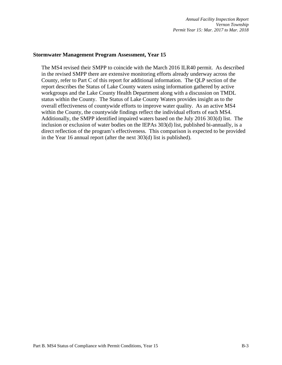#### **Stormwater Management Program Assessment, Year 15**

The MS4 revised their SMPP to coincide with the March 2016 ILR40 permit. As described in the revised SMPP there are extensive monitoring efforts already underway across the County, refer to Part C of this report for additional information. The QLP section of the report describes the Status of Lake County waters using information gathered by active workgroups and the Lake County Health Department along with a discussion on TMDL status within the County. The Status of Lake County Waters provides insight as to the overall effectiveness of countywide efforts to improve water quality. As an active MS4 within the County, the countywide findings reflect the individual efforts of each MS4. Additionally, the SMPP identified impaired waters based on the July 2016 303(d) list. The inclusion or exclusion of water bodies on the IEPAs 303(d) list, published bi-annually, is a direct reflection of the program's effectiveness. This comparison is expected to be provided in the Year 16 annual report (after the next 303(d) list is published).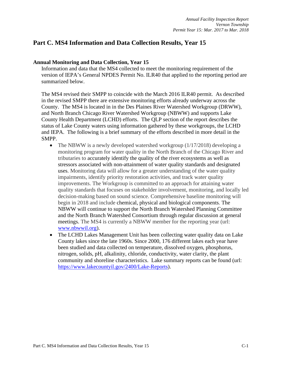# <span id="page-7-0"></span>**Part C. MS4 Information and Data Collection Results, Year 15**

#### **Annual Monitoring and Data Collection, Year 15**

Information and data that the MS4 collected to meet the monitoring requirement of the version of IEPA's General NPDES Permit No. ILR40 that applied to the reporting period are summarized below.

The MS4 revised their SMPP to coincide with the March 2016 ILR40 permit. As described in the revised SMPP there are extensive monitoring efforts already underway across the County. The MS4 is located in in the Des Plaines River Watershed Workgroup (DRWW), and North Branch Chicago River Watershed Workgroup (NBWW) and supports Lake County Health Department (LCHD) efforts. The QLP section of the report describes the status of Lake County waters using information gathered by these workgroups, the LCHD and IEPA. The following is a brief summary of the efforts described in more detail in the SMPP.

- The NBWW is a newly developed watershed workgroup  $(1/17/2018)$  developing a monitoring program for water quality in the North Branch of the Chicago River and tributaries to accurately identify the quality of the river ecosystems as well as stressors associated with non-attainment of water quality standards and designated uses. Monitoring data will allow for a greater understanding of the water quality impairments, identify priority restoration activities, and track water quality improvements. The Workgroup is committed to an approach for attaining water quality standards that focuses on stakeholder involvement, monitoring, and locally led decision-making based on sound science. Comprehensive baseline monitoring will begin in 2018 and include chemical, physical and biological components. The NBWW will continue to support the North Branch Watershed Planning Committee and the North Branch Watershed Consortium through regular discussion at general meetings. The MS4 is currently a NBWW member for the reporting year (url: [www.nbwwil.org\)](http://www.nbwwil.org/).
- The LCHD Lakes Management Unit has been collecting water quality data on Lake County lakes since the late 1960s. Since 2000, 176 different lakes each year have been studied and data collected on temperature, dissolved oxygen, phosphorus, nitrogen, solids, pH, alkalinity, chloride, conductivity, water clarity, the plant community and shoreline characteristics. Lake summary reports can be found (url: [https://www.lakecountyil.gov/2400/Lake-Reports\)](https://www.lakecountyil.gov/2400/Lake-Reports).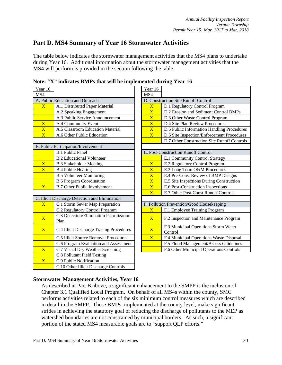# <span id="page-8-0"></span>**Part D. MS4 Summary of Year 16 Stormwater Activities**

The table below indicates the stormwater management activities that the MS4 plans to undertake during Year 16. Additional information about the stormwater management activities that the MS4 will perform is provided in the section following the table.

|                                                  | MS4                         |                                             |
|--------------------------------------------------|-----------------------------|---------------------------------------------|
| A. Public Education and Outreach                 |                             | D. Construction Site Runoff Control         |
| A.1 Distributed Paper Material                   | $\overline{\textbf{X}}$     | D.1 Regulatory Control Program              |
| A.2 Speaking Engagement                          | $\overline{\mathbf{X}}$     | D.2 Erosion and Sediment Contro             |
| A.3 Public Service Announcement                  | $\overline{\mathbf{X}}$     | D.3 Other Waste Control Program             |
| A.4 Community Event                              | $\overline{\text{X}}$       | D.4 Site Plan Review Procedures             |
| A.5 Classroom Education Material                 | $\overline{\mathbf{X}}$     | D.5 Public Information Handling             |
| A.6 Other Public Education                       | $\overline{\mathbf{X}}$     | D.6 Site Inspection/Enforcement I           |
|                                                  |                             | D.7 Other Construction Site Runo            |
| B. Public Participation/Involvement              |                             |                                             |
| <b>B.1 Public Panel</b>                          |                             | E. Post-Construction Runoff Control         |
| <b>B.2 Educational Volunteer</b>                 |                             | E.1 Community Control Strategy              |
| <b>B.3 Stakeholder Meeting</b>                   | $\overline{\mathbf{X}}$     | E.2 Regulatory Control Program              |
| <b>B.4 Public Hearing</b>                        | $\overline{\text{X}}$       | E.3 Long Term O&M Procedures                |
| <b>B.5 Volunteer Monitoring</b>                  | $\overline{\mathbf{X}}$     | E.4 Pre-Const Review of BMP De              |
| <b>B.6 Program Coordination</b>                  | $\overline{\mathbf{X}}$     | E.5 Site Inspections During Const           |
| <b>B.7 Other Public Involvement</b>              | $\overline{\textbf{X}}$     | E.6 Post-Construction Inspections           |
|                                                  | $\overline{\mathbf{X}}$     | E.7 Other Post-Const Runoff Con             |
| C. Illicit Discharge Detection and Elimination   |                             |                                             |
| C.1 Storm Sewer Map Preparation                  |                             | F. Pollution Prevention/Good Housekeeping   |
| C.2 Regulatory Control Program                   | $\overline{\text{X}}$       | F.1 Employee Training Program               |
| C.3 Detection/Elimination Prioritization<br>Plan | $\overline{X}$              | F.2 Inspection and Maintenance P            |
| C.4 Illicit Discharge Tracing Procedures         | $\overline{X}$              | F.3 Municipal Operations Storm V<br>Control |
| C.5 Illicit Source Removal Procedures            | $\overline{\text{X}}$       | F.4 Municipal Operations Waste I            |
| C.6 Program Evaluation and Assessment            |                             | F.5 Flood Management/Assess Gu              |
| C.7 Visual Dry Weather Screening                 |                             | F.6 Other Municipal Operations C            |
|                                                  |                             |                                             |
| C.9 Public Notification                          |                             |                                             |
| C.10 Other Illicit Discharge Controls            |                             |                                             |
|                                                  | C.8 Pollutant Field Testing | Year 16                                     |

**Note: "X" indicates BMPs that will be implemented during Year 16**

|                                     | e, a murden bini s mai will be implemented unting fear fo |                         |                                                 |
|-------------------------------------|-----------------------------------------------------------|-------------------------|-------------------------------------------------|
| ar 16                               |                                                           | Year 16                 |                                                 |
| $\overline{4}$                      |                                                           | MS4                     |                                                 |
|                                     | <b>Public Education and Outreach</b>                      |                         | D. Construction Site Runoff Control             |
| $\overline{\text{X}}$               | A.1 Distributed Paper Material                            | $\overline{\textbf{X}}$ | D.1 Regulatory Control Program                  |
|                                     | A.2 Speaking Engagement                                   | $\overline{\mathbf{X}}$ | D.2 Erosion and Sediment Control BMPs           |
|                                     | A.3 Public Service Announcement                           | $\overline{\mathbf{X}}$ | D.3 Other Waste Control Program                 |
| $\frac{\overline{X}}{\overline{X}}$ | A.4 Community Event                                       | $\overline{\text{X}}$   | D.4 Site Plan Review Procedures                 |
|                                     | A.5 Classroom Education Material                          | $\overline{\mathbf{X}}$ | D.5 Public Information Handling Procedures      |
| $\overline{\text{X}}$               | A.6 Other Public Education                                | $\overline{\mathbf{X}}$ | D.6 Site Inspection/Enforcement Procedures      |
|                                     |                                                           |                         | D.7 Other Construction Site Runoff Controls     |
|                                     | Public Participation/Involvement                          |                         |                                                 |
|                                     | <b>B.1 Public Panel</b>                                   |                         | E. Post-Construction Runoff Control             |
|                                     | <b>B.2 Educational Volunteer</b>                          |                         | E.1 Community Control Strategy                  |
| $\overline{\text{X}}$               | <b>B.3 Stakeholder Meeting</b>                            | $\overline{\mathbf{X}}$ | E.2 Regulatory Control Program                  |
| $\overline{\text{X}}$               | <b>B.4 Public Hearing</b>                                 | $\overline{\mathbf{X}}$ | E.3 Long Term O&M Procedures                    |
|                                     | <b>B.5 Volunteer Monitoring</b>                           | $\overline{\text{X}}$   | E.4 Pre-Const Review of BMP Designs             |
|                                     | <b>B.6 Program Coordination</b>                           | $\overline{\textbf{X}}$ | E.5 Site Inspections During Construction        |
| $\overline{\text{X}}$               | <b>B.7 Other Public Involvement</b>                       | $\overline{\text{X}}$   | E.6 Post-Construction Inspections               |
|                                     |                                                           | $\overline{\mathbf{X}}$ | E.7 Other Post-Const Runoff Controls            |
|                                     | Illicit Discharge Detection and Elimination               |                         |                                                 |
| $\overline{\text{X}^+}$             | C.1 Storm Sewer Map Preparation                           |                         | F. Pollution Prevention/Good Housekeeping       |
|                                     | C.2 Regulatory Control Program                            | $\overline{\text{X}}$   | F.1 Employee Training Program                   |
| $\overline{\text{X}}$               | C.3 Detection/Elimination Prioritization<br>Plan          | $\overline{X}$          | F.2 Inspection and Maintenance Program          |
| $\overline{\mathrm{X}}$             | C.4 Illicit Discharge Tracing Procedures                  | $\overline{\mathbf{X}}$ | F.3 Municipal Operations Storm Water<br>Control |
|                                     | C.5 Illicit Source Removal Procedures                     | $\overline{X}$          | F.4 Municipal Operations Waste Disposal         |
|                                     | C.6 Program Evaluation and Assessment                     |                         | F.5 Flood Management/Assess Guidelines          |
| $\overline{\text{X}}$               | C.7 Visual Dry Weather Screening                          |                         | F.6 Other Municipal Operations Controls         |

### **Stormwater Management Activities, Year 16**

As described in Part B above, a significant enhancement to the SMPP is the inclusion of Chapter 3.1 Qualified Local Program. On behalf of all MS4s within the county, SMC performs activities related to each of the six minimum control measures which are described in detail in the SMPP. These BMPs, implemented at the county level, make significant strides in achieving the statutory goal of reducing the discharge of pollutants to the MEP as watershed boundaries are not constrained by municipal borders. As such, a significant portion of the stated MS4 measurable goals are to "support QLP efforts."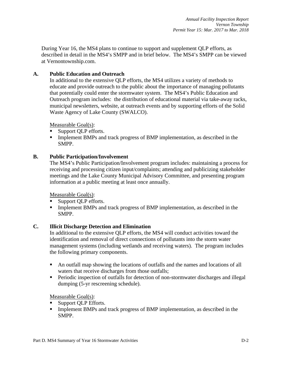During Year 16, the MS4 plans to continue to support and supplement QLP efforts, as described in detail in the MS4's SMPP and in brief below. The MS4's SMPP can be viewed at Vernontownship.com.

### **A. Public Education and Outreach**

In additional to the extensive QLP efforts, the MS4 utilizes a variety of methods to educate and provide outreach to the public about the importance of managing pollutants that potentially could enter the stormwater system. The MS4's Public Education and Outreach program includes: the distribution of educational material via take-away racks, municipal newsletters, website, at outreach events and by supporting efforts of the Solid Waste Agency of Lake County (SWALCO).

Measurable Goal(s):

- Support QLP efforts.
- Implement BMPs and track progress of BMP implementation, as described in the SMPP.

### **B. Public Participation/Involvement**

The MS4's Public Participation/Involvement program includes: maintaining a process for receiving and processing citizen input/complaints; attending and publicizing stakeholder meetings and the Lake County Municipal Advisory Committee, and presenting program information at a public meeting at least once annually.

Measurable Goal(s):

- Support QLP efforts.
- **Implement BMPs and track progress of BMP implementation, as described in the** SMPP.

### **C. Illicit Discharge Detection and Elimination**

In additional to the extensive QLP efforts, the MS4 will conduct activities toward the identification and removal of direct connections of pollutants into the storm water management systems (including wetlands and receiving waters). The program includes the following primary components.

- An outfall map showing the locations of outfalls and the names and locations of all waters that receive discharges from those outfalls;
- **Periodic inspection of outfalls for detection of non-stormwater discharges and illegal** dumping (5-yr rescreening schedule).

- Support QLP Efforts.
- Implement BMPs and track progress of BMP implementation, as described in the SMPP.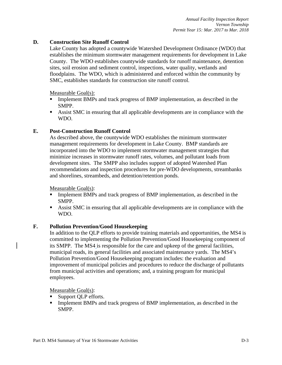### **D. Construction Site Runoff Control**

Lake County has adopted a countywide Watershed Development Ordinance (WDO) that establishes the minimum stormwater management requirements for development in Lake County. The WDO establishes countywide standards for runoff maintenance, detention sites, soil erosion and sediment control, inspections, water quality, wetlands and floodplains. The WDO, which is administered and enforced within the community by SMC, establishes standards for construction site runoff control.

#### Measurable Goal(s):

- Implement BMPs and track progress of BMP implementation, as described in the SMPP.
- Assist SMC in ensuring that all applicable developments are in compliance with the WDO.

#### **E. Post-Construction Runoff Control**

As described above, the countywide WDO establishes the minimum stormwater management requirements for development in Lake County. BMP standards are incorporated into the WDO to implement stormwater management strategies that minimize increases in stormwater runoff rates, volumes, and pollutant loads from development sites. The SMPP also includes support of adopted Watershed Plan recommendations and inspection procedures for pre-WDO developments, streambanks and shorelines, streambeds, and detention/retention ponds.

Measurable Goal(s):

- Implement BMPs and track progress of BMP implementation, as described in the SMPP.
- Assist SMC in ensuring that all applicable developments are in compliance with the WDO.

#### **F. Pollution Prevention/Good Housekeeping**

In addition to the QLP efforts to provide training materials and opportunities, the MS4 is committed to implementing the Pollution Prevention/Good Housekeeping component of its SMPP. The MS4 is responsible for the care and upkeep of the general facilities, municipal roads, its general facilities and associated maintenance yards. The MS4's Pollution Prevention/Good Housekeeping program includes: the evaluation and improvement of municipal policies and procedures to reduce the discharge of pollutants from municipal activities and operations; and, a training program for municipal employees.

- Support QLP efforts.
- Implement BMPs and track progress of BMP implementation, as described in the SMPP.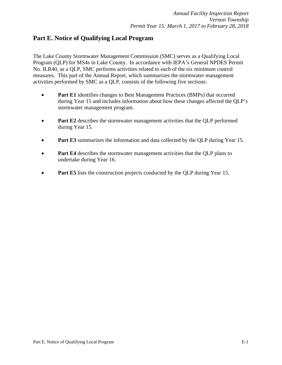# <span id="page-11-0"></span>**Part E. Notice of Qualifying Local Program**

The Lake County Stormwater Management Commission (SMC) serves as a Qualifying Local Program (QLP) for MS4s in Lake County. In accordance with IEPA's General NPDES Permit No. ILR40, as a QLP, SMC performs activities related to each of the six minimum control measures. This part of the Annual Report, which summarizes the stormwater management activities performed by SMC as a QLP, consists of the following five sections:

- **Part E1** identifies changes to Best Management Practices (BMPs) that occurred during Year 15 and includes information about how these changes affected the QLP's stormwater management program.
- **Part E2** describes the stormwater management activities that the QLP performed during Year 15.
- **Part E3** summarizes the information and data collected by the QLP during Year 15.
- **Part E4** describes the stormwater management activities that the QLP plans to undertake during Year 16.
- **Part E5** lists the construction projects conducted by the QLP during Year 15.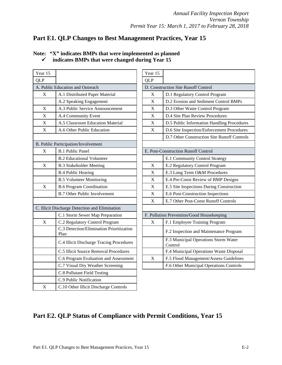# <span id="page-12-0"></span>**Part E1. QLP Changes to Best Management Practices, Year 15**

| Year 15     |                                                  | Year 15     |                                             |
|-------------|--------------------------------------------------|-------------|---------------------------------------------|
| <b>QLP</b>  |                                                  | <b>QLP</b>  |                                             |
|             | A. Public Education and Outreach                 |             | D. Construction Site Runoff Control         |
| X           | A.1 Distributed Paper Material                   | X           | D.1 Regulatory Control Program              |
|             | A.2 Speaking Engagement                          | $\mathbf X$ | D.2 Erosion and Sediment Control            |
| $\mathbf X$ | A.3 Public Service Announcement                  | $\mathbf X$ | D.3 Other Waste Control Program             |
| X           | A.4 Community Event                              | X           | D.4 Site Plan Review Procedures             |
| $\mathbf X$ | A.5 Classroom Education Material                 | $\mathbf X$ | D.5 Public Information Handling I           |
| X           | A.6 Other Public Education                       | X           | D.6 Site Inspection/Enforcement F           |
|             |                                                  |             | D.7 Other Construction Site Runo:           |
|             | B. Public Participation/Involvement              |             |                                             |
| $\mathbf X$ | <b>B.1 Public Panel</b>                          |             | E. Post-Construction Runoff Control         |
|             | <b>B.2 Educational Volunteer</b>                 |             | E.1 Community Control Strategy              |
| $\mathbf X$ | <b>B.3 Stakeholder Meeting</b>                   | $\mathbf X$ | E.2 Regulatory Control Program              |
|             | <b>B.4 Public Hearing</b>                        | X           | E.3 Long Term O&M Procedures                |
|             | <b>B.5 Volunteer Monitoring</b>                  | $\mathbf X$ | E.4 Pre-Const Review of BMP De              |
| $\mathbf X$ | <b>B.6 Program Coordination</b>                  | X           | E.5 Site Inspections During Consti          |
|             | <b>B.7 Other Public Involvement</b>              | $\mathbf X$ | E.6 Post-Construction Inspections           |
|             |                                                  | X           | E.7 Other Post-Const Runoff Cont            |
|             | C. Illicit Discharge Detection and Elimination   |             |                                             |
|             | C.1 Storm Sewer Map Preparation                  |             | F. Pollution Prevention/Good Housekeeping   |
| $\mathbf X$ | C.2 Regulatory Control Program                   | X           | F.1 Employee Training Program               |
|             | C.3 Detection/Elimination Prioritization<br>Plan |             | F.2 Inspection and Maintenance Pr           |
|             | C.4 Illicit Discharge Tracing Procedures         |             | F.3 Municipal Operations Storm V<br>Control |
|             | C.5 Illicit Source Removal Procedures            |             | F.4 Municipal Operations Waste L            |
|             | C.6 Program Evaluation and Assessment            | X           | F.5 Flood Management/Assess Gu              |
|             | C.7 Visual Dry Weather Screening                 |             | F.6 Other Municipal Operations C            |
|             | <b>C.8 Pollutant Field Testing</b>               |             |                                             |
|             | C.9 Public Notification                          |             |                                             |
| $\mathbf X$ | C.10 Other Illicit Discharge Controls            |             |                                             |

|                  | Note: "X" indicates BMPs that were implemented as planned |
|------------------|-----------------------------------------------------------|
| $\boldsymbol{I}$ | indicates BMPs that were changed during Year 15           |

| r 15                          |                                                  | Year 15     |                                                 |
|-------------------------------|--------------------------------------------------|-------------|-------------------------------------------------|
| $\mathbf{c}$                  |                                                  | <b>QLP</b>  |                                                 |
| Public Education and Outreach |                                                  |             | D. Construction Site Runoff Control             |
| X                             | A.1 Distributed Paper Material                   | X           | D.1 Regulatory Control Program                  |
|                               | A.2 Speaking Engagement                          | X           | D.2 Erosion and Sediment Control BMPs           |
| $\overline{X}$                | A.3 Public Service Announcement                  | $\mathbf X$ | D.3 Other Waste Control Program                 |
| $\overline{X}$                | A.4 Community Event                              | X           | D.4 Site Plan Review Procedures                 |
| $\overline{X}$                | A.5 Classroom Education Material                 | X           | D.5 Public Information Handling Procedures      |
| $\mathbf X$                   | A.6 Other Public Education                       | X           | D.6 Site Inspection/Enforcement Procedures      |
|                               |                                                  |             | D.7 Other Construction Site Runoff Controls     |
|                               | ublic Participation/Involvement                  |             |                                                 |
| $\mathbf X$                   | <b>B.1 Public Panel</b>                          |             | E. Post-Construction Runoff Control             |
|                               | <b>B.2 Educational Volunteer</b>                 |             | E.1 Community Control Strategy                  |
| $\mathbf X$                   | <b>B.3 Stakeholder Meeting</b>                   | X           | E.2 Regulatory Control Program                  |
|                               | <b>B.4 Public Hearing</b>                        | X           | E.3 Long Term O&M Procedures                    |
|                               | <b>B.5 Volunteer Monitoring</b>                  | X           | E.4 Pre-Const Review of BMP Designs             |
| $\mathbf X$                   | <b>B.6 Program Coordination</b>                  | X           | E.5 Site Inspections During Construction        |
|                               | <b>B.7 Other Public Involvement</b>              | X           | E.6 Post-Construction Inspections               |
|                               |                                                  | $\mathbf X$ | E.7 Other Post-Const Runoff Controls            |
|                               | llicit Discharge Detection and Elimination       |             |                                                 |
|                               | C.1 Storm Sewer Map Preparation                  |             | F. Pollution Prevention/Good Housekeeping       |
| $\mathbf X$                   | C.2 Regulatory Control Program                   | X           | F.1 Employee Training Program                   |
|                               | C.3 Detection/Elimination Prioritization<br>Plan |             | F.2 Inspection and Maintenance Program          |
|                               | C.4 Illicit Discharge Tracing Procedures         |             | F.3 Municipal Operations Storm Water<br>Control |
|                               | C.5 Illicit Source Removal Procedures            |             | F.4 Municipal Operations Waste Disposal         |
|                               | C.6 Program Evaluation and Assessment            | X           | F.5 Flood Management/Assess Guidelines          |
|                               | C.7 Visual Dry Weather Screening                 |             | F.6 Other Municipal Operations Controls         |
|                               |                                                  |             |                                                 |

# <span id="page-12-1"></span>**Part E2. QLP Status of Compliance with Permit Conditions, Year 15**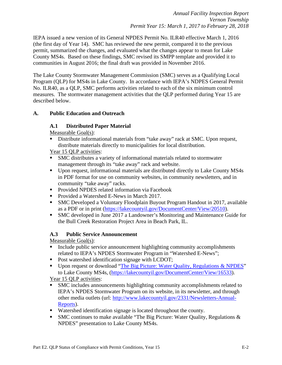IEPA issued a new version of its General NPDES Permit No. ILR40 effective March 1, 2016 (the first day of Year 14). SMC has reviewed the new permit, compared it to the previous permit, summarized the changes, and evaluated what the changes appear to mean for Lake County MS4s. Based on these findings, SMC revised its SMPP template and provided it to communities in August 2016; the final draft was provided in November 2016.

The Lake County Stormwater Management Commission (SMC) serves as a Qualifying Local Program (QLP) for MS4s in Lake County. In accordance with IEPA's NDPES General Permit No. ILR40, as a QLP, SMC performs activities related to each of the six minimum control measures. The stormwater management activities that the QLP performed during Year 15 are described below.

### **A. Public Education and Outreach**

### **A.1 Distributed Paper Material**

Measurable Goal(s):

Distribute informational materials from "take away" rack at SMC. Upon request, distribute materials directly to municipalities for local distribution.

Year 15 OLP activities:

- SMC distributes a variety of informational materials related to stormwater management through its "take away" rack and website.
- Upon request, informational materials are distributed directly to Lake County MS4s in PDF format for use on community websites, in community newsletters, and in community "take away" racks.
- **Provided NPDES related information via Facebook**
- Provided a Watershed E-News in March 2017.
- SMC Developed a Voluntary Floodplain Buyout Program Handout in 2017, available as a PDF or in print [\(https://lakecountyil.gov/DocumentCenter/View/20510\)](https://lakecountyil.gov/DocumentCenter/View/20510).
- SMC developed in June 2017 a Landowner's Monitoring and Maintenance Guide for the Bull Creek Restoration Project Area in Beach Park, IL.

### **A.3 Public Service Announcement**

Measurable Goal(s):

- Include public service announcement highlighting community accomplishments related to IEPA's NPDES Stormwater Program in "Watershed E-News";
- Post watershed identification signage with LCDOT;
- Upon request or download ["The Big Picture: Water Quality, Regulations & NPDES"](https://lakecountyil.gov/DocumentCenter/View/16533) to Lake County MS4s, [\(https://lakecountyil.gov/DocumentCenter/View/16533\)](https://lakecountyil.gov/DocumentCenter/View/16533).

Year 15 QLP activities:

- SMC includes announcements highlighting community accomplishments related to IEPA's NPDES Stormwater Program on its website, in its newsletter, and through other media outlets (url: [http://www.lakecountyil.gov/2331/Newsletters-Annual-](http://www.lakecountyil.gov/2331/Newsletters-Annual-Reports)[Reports\)](http://www.lakecountyil.gov/2331/Newsletters-Annual-Reports).
- Watershed identification signage is located throughout the county.
- SMC continues to make available "The Big Picture: Water Quality, Regulations  $\&$ NPDES" presentation to Lake County MS4s.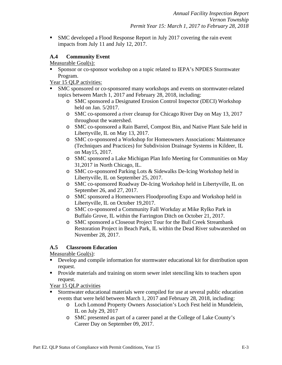SMC developed a Flood Response Report in July 2017 covering the rain event impacts from July 11 and July 12, 2017.

### **A.4 Community Event**

Measurable Goal(s):

- Sponsor or co-sponsor workshop on a topic related to IEPA's NPDES Stormwater Program.
- Year 15 QLP activities:
- SMC sponsored or co-sponsored many workshops and events on stormwater-related topics between March 1, 2017 and February 28, 2018, including:
	- o SMC sponsored a Designated Erosion Control Inspector (DECI) Workshop held on Jan. 5/2017.
	- o SMC co-sponsored a river cleanup for Chicago River Day on May 13, 2017 throughout the watershed.
	- o SMC co-sponsored a Rain Barrel, Compost Bin, and Native Plant Sale held in Libertyville, IL on May 13, 2017.
	- o SMC co-sponsored a Workshop for Homeowners Associations: Maintenance (Techniques and Practices) for Subdivision Drainage Systems in Kildeer, IL on May15, 2017.
	- o SMC sponsored a Lake Michigan Plan Info Meeting for Communities on May 31,2017 in North Chicago, IL.
	- o SMC co-sponsored Parking Lots & Sidewalks De-Icing Workshop held in Libertyville, IL on September 25, 2017.
	- o SMC co-sponsored Roadway De-Icing Workshop held in Libertyville, IL on September 26, and 27, 2017.
	- o SMC sponsored a Homeowners Floodproofing Expo and Workshop held in Libertyville, IL on October 19,2017.
	- o SMC co-sponsored a Community Fall Workday at Mike Rylko Park in Buffalo Grove, IL within the Farrington Ditch on October 21, 2017.
	- o SMC sponsored a Closeout Project Tour for the Bull Creek Streambank Restoration Project in Beach Park, IL within the Dead River subwatershed on November 28, 2017.

### **A.5 Classroom Education**

Measurable Goal(s):

- Develop and compile information for stormwater educational kit for distribution upon request.
- **Provide materials and training on storm sewer inlet stenciling kits to teachers upon** request.

Year 15 QLP activities

- Stormwater educational materials were compiled for use at several public education events that were held between March 1, 2017 and February 28, 2018, including:
	- o Loch Lomond Property Owners Association's Loch Fest held in Mundelein, IL on July 29, 2017
	- o SMC presented as part of a career panel at the College of Lake County's Career Day on September 09, 2017.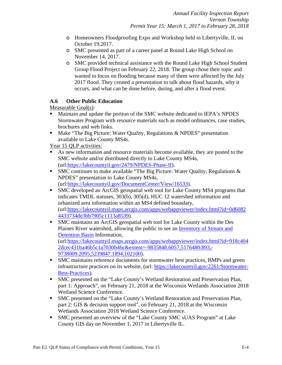- o Homeowners Floodproofing Expo and Workshop held in Libertyville, IL on October 19,2017.
- o SMC presented as part of a career panel at Round Lake High School on November 14, 2017.
- o SMC provided technical assistance with the Round Lake High School Student Group Flood Project on February 22, 2018. The group chose their topic and wanted to focus on flooding because many of them were affected by the July 2017 flood. They created a presentation to talk about flood hazards, why it occurs, and what can be done before, during, and after a flood event.

### **A.6 Other Public Education**

Measurable Goal(s):

- Maintain and update the portion of the SMC website dedicated to IEPA's NPDES Stormwater Program with resource materials such as model ordinances, case studies, brochures and web links.
- Make "The Big Picture: Water Quality, Regulations & NPDES" presentation available to Lake County MS4s.

Year 15 QLP activities:

- As new information and resource materials become available, they are posted to the SMC website and/or distributed directly to Lake County MS4s, (url[:https://lakecountyil.gov/2479/NPDES-Phase-II\)](https://lakecountyil.gov/2479/NPDES-Phase-II).
- SMC continues to make available "The Big Picture: Water Quality, Regulations  $\&$ NPDES" presentation to Lake County MS4s, (url[:https://lakecountyil.gov/DocumentCenter/View/16533\)](https://lakecountyil.gov/DocumentCenter/View/16533).
- SMC developed an ArcGIS geospatial web tool for Lake County MS4 programs that indicates TMDL statuses, 303(b), 305(d), HUC 12 watershed information and urbanized area information within an MS4 defined boundary, (url[:https://lakecountyil.maps.arcgis.com/apps/webappviewer/index.html?id=0d6082](https://lakecountyil.maps.arcgis.com/apps/webappviewer/index.html?id=0d60824433734de3bb7905c1113a8539) [4433734de3bb7905c1113a8539\)](https://lakecountyil.maps.arcgis.com/apps/webappviewer/index.html?id=0d60824433734de3bb7905c1113a8539).
- SMC maintains an ArcGIS geospatial web tool for Lake County within the Des Plaines River watershed, allowing the public to see an [Inventory of Stream and](https://lakecountyil.maps.arcgis.com/apps/webappviewer/index.html?id=918c4042dcec431ba46b5c1a7030b46c&extent=-9835848.6057,5176480.893,-9738009.2095,5239847.1894,102100)  [Detention Basin](https://lakecountyil.maps.arcgis.com/apps/webappviewer/index.html?id=918c4042dcec431ba46b5c1a7030b46c&extent=-9835848.6057,5176480.893,-9738009.2095,5239847.1894,102100) Information, (url[:https://lakecountyil.maps.arcgis.com/apps/webappviewer/index.html?id=918c404](https://lakecountyil.maps.arcgis.com/apps/webappviewer/index.html?id=918c4042dcec431ba46b5c1a7030b46c&extent=-9835848.6057,5176480.893,-9738009.2095,5239847.1894,102100) [2dcec431ba46b5c1a7030b46c&extent=-9835848.6057,5176480.893,-](https://lakecountyil.maps.arcgis.com/apps/webappviewer/index.html?id=918c4042dcec431ba46b5c1a7030b46c&extent=-9835848.6057,5176480.893,-9738009.2095,5239847.1894,102100) [9738009.2095,5239847.1894,102100\)](https://lakecountyil.maps.arcgis.com/apps/webappviewer/index.html?id=918c4042dcec431ba46b5c1a7030b46c&extent=-9835848.6057,5176480.893,-9738009.2095,5239847.1894,102100).
- SMC maintains reference documents for stormwater best practices, BMPs and green infrastructure practices on its website, (url: [https://lakecountyil.gov/2261/Stormwater-](https://lakecountyil.gov/2261/Stormwater-Best-Practices)[Best-Practices\)](https://lakecountyil.gov/2261/Stormwater-Best-Practices).
- SMC presented on the "Lake County's Wetland Restoration and Preservation Plan, part 1: Approach", on February 21, 2018 at the Wisconsin Wetlands Association 2018 Wetland Science Conference.
- SMC presented on the "Lake County's Wetland Restoration and Preservation Plan, part 2: GIS & decision support tool", on February 21, 2018 at the Wisconsin Wetlands Association 2018 Wetland Science Conference.
- SMC presented an overview of the "Lake County SMC sUAS Program" at Lake County GIS day on November 1, 2017 in Libertyville IL.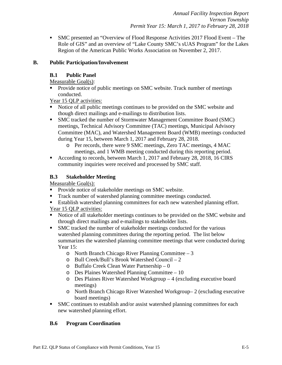SMC presented an "Overview of Flood Response Activities 2017 Flood Event – The Role of GIS" and an overview of "Lake County SMC's sUAS Program" for the Lakes Region of the American Public Works Association on November 2, 2017.

### **B. Public Participation/Involvement**

### **B.1 Public Panel**

Measurable Goal(s):

 Provide notice of public meetings on SMC website. Track number of meetings conducted.

Year 15 QLP activities:

- Notice of all public meetings continues to be provided on the SMC website and though direct mailings and e-mailings to distribution lists.
- SMC tracked the number of Stormwater Management Committee Board (SMC) meetings, Technical Advisory Committee (TAC) meetings, Municipal Advisory Committee (MAC), and Watershed Management Board (WMB) meetings conducted during Year 15, between March 1, 2017 and February 28, 2018.
	- o Per records, there were 9 SMC meetings, Zero TAC meetings, 4 MAC meetings, and 1 WMB meeting conducted during this reporting period.
- According to records, between March 1, 2017 and February 28, 2018, 16 CIRS community inquiries were received and processed by SMC staff.

### **B.3 Stakeholder Meeting**

Measurable Goal(s):

- **Provide notice of stakeholder meetings on SMC website.**
- Track number of watershed planning committee meetings conducted.
- Establish watershed planning committees for each new watershed planning effort.

Year 15 QLP activities:

- Notice of all stakeholder meetings continues to be provided on the SMC website and through direct mailings and e-mailings to stakeholder lists.
- SMC tracked the number of stakeholder meetings conducted for the various watershed planning committees during the reporting period. The list below summarizes the watershed planning committee meetings that were conducted during Year 15:
	- o North Branch Chicago River Planning Committee 3
	- o Bull Creek/Bull's Brook Watershed Council 2
	- o Buffalo Creek Clean Water Partnership 0
	- o Des Plaines Watershed Planning Committee 10
	- o Des Plaines River Watershed Workgroup 4 (excluding executive board meetings)
	- o North Branch Chicago River Watershed Workgroup– 2 (excluding executive board meetings)
- SMC continues to establish and/or assist watershed planning committees for each new watershed planning effort.

### **B.6 Program Coordination**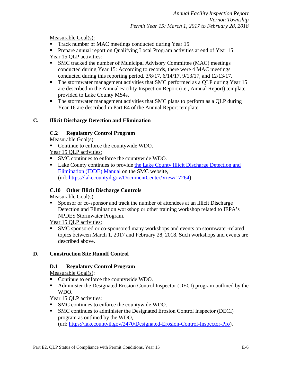Measurable Goal(s):

- Track number of MAC meetings conducted during Year 15.
- **Prepare annual report on Qualifying Local Program activities at end of Year 15.** Year 15 QLP activities:
- SMC tracked the number of Municipal Advisory Committee (MAC) meetings conducted during Year 15: According to records, there were 4 MAC meetings conducted during this reporting period. 3/8/17, 6/14/17, 9/13/17, and 12/13/17.
- The stormwater management activities that SMC performed as a QLP during Year 15 are described in the Annual Facility Inspection Report (i.e., Annual Report) template provided to Lake County MS4s.
- The stormwater management activities that SMC plans to perform as a QLP during Year 16 are described in Part E4 of the Annual Report template.

### **C. Illicit Discharge Detection and Elimination**

### **C.2 Regulatory Control Program**

Measurable Goal(s):

- Continue to enforce the countywide WDO.
- Year 15 QLP activities:
- SMC continues to enforce the countywide WDO.
- Lake County continues to provide the Lake County Illicit Discharge Detection and [Elimination \(IDDE\) Manual](https://lakecountyil.gov/DocumentCenter/View/17264) on the SMC website, (url: [https://lakecountyil.gov/DocumentCenter/View/17264\)](https://lakecountyil.gov/DocumentCenter/View/17264)

# **C.10 Other Illicit Discharge Controls**

Measurable Goal(s):

 Sponsor or co-sponsor and track the number of attendees at an Illicit Discharge Detection and Elimination workshop or other training workshop related to IEPA's NPDES Stormwater Program.

Year 15 QLP activities:

 SMC sponsored or co-sponsored many workshops and events on stormwater-related topics between March 1, 2017 and February 28, 2018. Such workshops and events are described above.

# **D. Construction Site Runoff Control**

### **D.1 Regulatory Control Program**

Measurable Goal(s):

- Continue to enforce the countywide WDO.
- Administer the Designated Erosion Control Inspector (DECI) program outlined by the WDO.

Year 15 QLP activities:

- SMC continues to enforce the countywide WDO.
- SMC continues to administer the Designated Erosion Control Inspector (DECI) program as outlined by the WDO, (url: [https://lakecountyil.gov/2470/Designated-Erosion-Control-Inspector-Pro\)](https://lakecountyil.gov/2470/Designated-Erosion-Control-Inspector-Pro).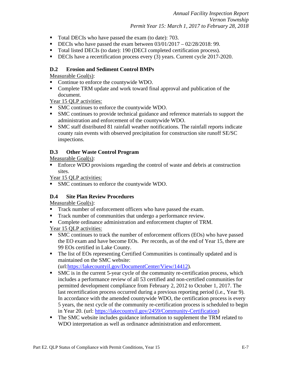*Annual Facility Inspection Report Vernon Township Permit Year 15: March 1, 2017 to February 28, 2018*

- Total DECIs who have passed the exam (to date): 703.
- DECIs who have passed the exam between  $03/01/2017 02/28/2018$ : 99.
- Total listed DECIs (to date): 190 (DECI completed certification process).
- DECIs have a recertification process every (3) years. Current cycle 2017-2020.

### **D.2 Erosion and Sediment Control BMPs**

Measurable Goal(s):

- Continue to enforce the countywide WDO.
- Complete TRM update and work toward final approval and publication of the document.

Year 15 QLP activities:

- SMC continues to enforce the countywide WDO.
- SMC continues to provide technical guidance and reference materials to support the administration and enforcement of the countywide WDO.
- SMC staff distributed 81 rainfall weather notifications. The rainfall reports indicate county rain events with observed precipitation for construction site runoff SE/SC inspections.

### **D.3 Other Waste Control Program**

Measurable Goal(s):

 Enforce WDO provisions regarding the control of waste and debris at construction sites.

Year 15 QLP activities:

SMC continues to enforce the countywide WDO.

### **D.4 Site Plan Review Procedures**

Measurable Goal(s):

- Track number of enforcement officers who have passed the exam.
- Track number of communities that undergo a performance review.
- Complete ordinance administration and enforcement chapter of TRM.

Year 15 QLP activities:

- SMC continues to track the number of enforcement officers (EOs) who have passed the EO exam and have become EOs. Per records, as of the end of Year 15, there are 99 EOs certified in Lake County.
- The list of EOs representing Certified Communities is continually updated and is maintained on the SMC website:

(url[:https://lakecountyil.gov/DocumentCenter/View/14412\)](https://lakecountyil.gov/DocumentCenter/View/14412).

- SMC is in the current 5-year cycle of the community re-certification process, which includes a performance review of all 53 certified and non-certified communities for permitted development compliance from February 2, 2012 to October 1, 2017. The last recertification process occurred during a previous reporting period (i.e., Year 9). In accordance with the amended countywide WDO, the certification process is every 5 years, the next cycle of the community re-certification process is scheduled to begin in Year 20. (url: [https://lakecountyil.gov/2459/Community-Certification\)](https://lakecountyil.gov/2459/Community-Certification)
- The SMC website includes guidance information to supplement the TRM related to WDO interpretation as well as ordinance administration and enforcement.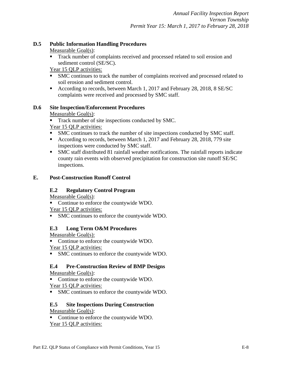### **D.5 Public Information Handling Procedures**

Measurable Goal(s):

 Track number of complaints received and processed related to soil erosion and sediment control (SE/SC).

Year 15 QLP activities:

- SMC continues to track the number of complaints received and processed related to soil erosion and sediment control.
- According to records, between March 1, 2017 and February 28, 2018, 8 SE/SC complaints were received and processed by SMC staff.

### **D.6 Site Inspection/Enforcement Procedures**

Measurable Goal(s):

- Track number of site inspections conducted by SMC.
- Year 15 QLP activities:
- SMC continues to track the number of site inspections conducted by SMC staff.
- According to records, between March 1, 2017 and February 28, 2018, 779 site inspections were conducted by SMC staff.
- SMC staff distributed 81 rainfall weather notifications. The rainfall reports indicate county rain events with observed precipitation for construction site runoff SE/SC inspections.

### **E. Post-Construction Runoff Control**

### **E.2 Regulatory Control Program**

Measurable Goal(s):

• Continue to enforce the countywide WDO.

Year 15 QLP activities:

SMC continues to enforce the countywide WDO.

### **E.3 Long Term O&M Procedures**

Measurable Goal(s):

• Continue to enforce the countywide WDO.

Year 15 QLP activities:

SMC continues to enforce the countywide WDO.

### **E.4 Pre-Construction Review of BMP Designs**

Measurable Goal(s):

• Continue to enforce the countywide WDO. Year 15 QLP activities:

SMC continues to enforce the countywide WDO.

### **E.5 Site Inspections During Construction**

Measurable Goal(s):

• Continue to enforce the countywide WDO. Year 15 QLP activities: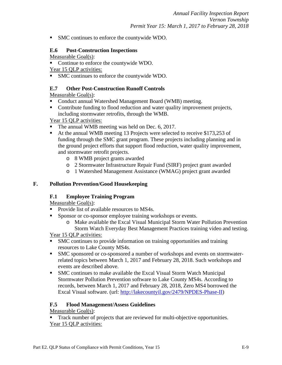SMC continues to enforce the countywide WDO.

### **E.6 Post-Construction Inspections**

Measurable Goal(s):

• Continue to enforce the countywide WDO.

Year 15 QLP activities:

SMC continues to enforce the countywide WDO.

### **E.7 Other Post-Construction Runoff Controls**

Measurable Goal(s):

- Conduct annual Watershed Management Board (WMB) meeting.
- Contribute funding to flood reduction and water quality improvement projects, including stormwater retrofits, through the WMB.

### Year 15 OLP activities:

- The annual WMB meeting was held on Dec. 6, 2017.
- At the annual WMB meeting 13 Projects were selected to receive \$173,253 of funding through the SMC grant program. These projects including planning and in the ground project efforts that support flood reduction, water quality improvement, and stormwater retrofit projects.
	- o 8 WMB project grants awarded
	- o 2 Stormwater Infrastructure Repair Fund (SIRF) project grant awarded
	- o 1 Watershed Management Assistance (WMAG) project grant awarded

### **F. Pollution Prevention/Good Housekeeping**

### **F.1 Employee Training Program**

Measurable Goal(s):

- Provide list of available resources to MS4s.
- Sponsor or co-sponsor employee training workshops or events.
	- o Make available the Excal Visual Municipal Storm Water Pollution Prevention Storm Watch Everyday Best Management Practices training video and testing.

Year 15 QLP activities:

- SMC continues to provide information on training opportunities and training resources to Lake County MS4s.
- SMC sponsored or co-sponsored a number of workshops and events on stormwaterrelated topics between March 1, 2017 and February 28, 2018. Such workshops and events are described above.
- SMC continues to make available the Excal Visual Storm Watch Municipal Stormwater Pollution Prevention software to Lake County MS4s. According to records, between March 1, 2017 and February 28, 2018, Zero MS4 borrowed the Excal Visual software. (url: [http://lakecountyil.gov/2479/NPDES-Phase-II\)](http://lakecountyil.gov/2479/NPDES-Phase-II)

### **F.5 Flood Management/Assess Guidelines**

### Measurable Goal(s):

 Track number of projects that are reviewed for multi-objective opportunities. Year 15 QLP activities: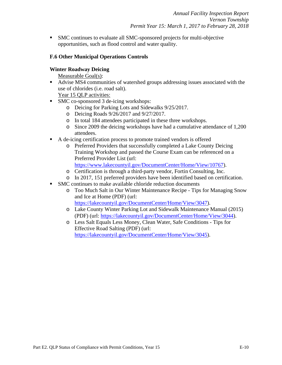SMC continues to evaluate all SMC-sponsored projects for multi-objective opportunities, such as flood control and water quality.

### **F.6 Other Municipal Operations Controls**

#### **Winter Roadway Deicing**

Measurable Goal(s):

 Advise MS4 communities of watershed groups addressing issues associated with the use of chlorides (i.e. road salt).

Year 15 QLP activities:

- SMC co-sponsored 3 de-icing workshops:
	- o Deicing for Parking Lots and Sidewalks 9/25/2017.
	- o Deicing Roads 9/26/2017 and 9/27/2017.
	- o In total 184 attendees participated in these three workshops.
	- o Since 2009 the deicing workshops have had a cumulative attendance of 1,200 attendees.
- A de-icing certification process to promote trained vendors is offered
	- o Preferred Providers that successfully completed a Lake County Deicing Training Workshop and passed the Course Exam can be referenced on a Preferred Provider List (url: [https://www.lakecountyil.gov/DocumentCenter/Home/View/10767\)](https://www.lakecountyil.gov/DocumentCenter/Home/View/10767).
	- o Certification is through a third-party vendor, Fortin Consulting, Inc.
	- o In 2017, 151 preferred providers have been identified based on certification.
- SMC continues to make available chloride reduction documents
	- o [Too Much Salt in Our Winter Maintenance Recipe -](https://lakecountyil.gov/DocumentCenter/Home/View/3047) Tips for Managing Snow [and Ice at Home \(PDF\)](https://lakecountyil.gov/DocumentCenter/Home/View/3047) (url: [https://lakecountyil.gov/DocumentCenter/Home/View/3047\)](https://lakecountyil.gov/DocumentCenter/Home/View/3047).
	- o Lake County Winter Parking Lot and Sidewalk Maintenance Manual (2015) (PDF) (url: [https://lakecountyil.gov/DocumentCenter/Home/View/3044\)](https://lakecountyil.gov/DocumentCenter/Home/View/3044).
	- o Less Salt Equals Less Money, Clean Water, Safe Conditions Tips for Effective Road Salting (PDF) (url: [https://lakecountyil.gov/DocumentCenter/Home/View/3045\)](https://lakecountyil.gov/DocumentCenter/Home/View/3045).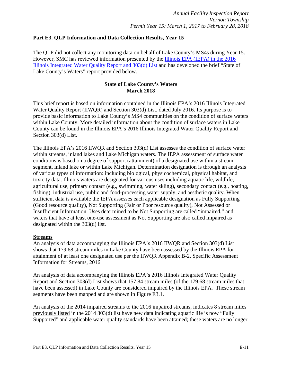### <span id="page-22-0"></span>**Part E3. QLP Information and Data Collection Results, Year 15**

The QLP did not collect any monitoring data on behalf of Lake County's MS4s during Year 15. However, SMC has reviewed information presented by the [Illinois EPA \(IEPA\) in the 2016](http://www.epa.illinois.gov/topics/water-quality/watershed-management/tmdls/303d-list/index)  [Illinois Integrated Water Quality Report and 303\(d\) List](http://www.epa.illinois.gov/topics/water-quality/watershed-management/tmdls/303d-list/index) and has developed the brief "State of Lake County's Waters" report provided below.

### **State of Lake County's Waters March 2018**

This brief report is based on information contained in the Illinois EPA's 2016 Illinois Integrated Water Quality Report (IIWQR) and Section 303(d) List, dated July 2016. Its purpose is to provide basic information to Lake County's MS4 communities on the condition of surface waters within Lake County. More detailed information about the condition of surface waters in Lake County can be found in the Illinois EPA's 2016 Illinois Integrated Water Quality Report and Section 303(d) List.

The Illinois EPA's 2016 IIWQR and Section 303(d) List assesses the condition of surface water within streams, inland lakes and Lake Michigan waters. The IEPA assessment of surface water conditions is based on a degree of support (attainment) of a designated use within a stream segment, inland lake or within Lake Michigan. Determination designation is through an analysis of various types of information: including biological, physicochemical, physical habitat, and toxicity data. Illinois waters are designated for various uses including aquatic life, wildlife, agricultural use, primary contact (e.g., swimming, water skiing), secondary contact (e.g., boating, fishing), industrial use, public and food-processing water supply, and aesthetic quality. When sufficient data is available the IEPA assesses each applicable designation as Fully Supporting (Good resource quality), Not Supporting (Fair or Poor resource quality), Not Assessed or Insufficient Information. Uses determined to be Not Supporting are called "impaired," and waters that have at least one-use assessment as Not Supporting are also called impaired as designated within the 303(d) list.

### **Streams**

An analysis of data accompanying the Illinois EPA's 2016 IIWQR and Section 303(d) List shows that 179.68 stream miles in Lake County have been assessed by the Illinois EPA for attainment of at least one designated use per the IIWQR Appendix B-2. Specific Assessment Information for Streams, 2016.

An analysis of data accompanying the Illinois EPA's 2016 Illinois Integrated Water Quality Report and Section 303(d) List shows that 157.84 stream miles (of the 179.68 stream miles that have been assessed) in Lake County are considered impaired by the Illinois EPA. These stream segments have been mapped and are shown in Figure E3.1.

An analysis of the 2014 impaired streams to the 2016 impaired streams, indicates 8 stream miles previously listed in the 2014 303(d) list have new data indicating aquatic life is now "Fully Supported" and applicable water quality standards have been attained; these waters are no longer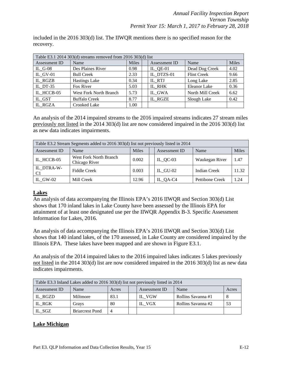included in the 2016 303(d) list. The IIWQR mentions there is no specified reason for the recovery.

| Table E3.1 2014 303(d) streams removed from 2016 303(d) list |                               |              |  |               |                    |       |  |
|--------------------------------------------------------------|-------------------------------|--------------|--|---------------|--------------------|-------|--|
| Assessment ID                                                | Name                          | <b>Miles</b> |  | Assessment ID | Name               | Miles |  |
| IL $G-08$                                                    | Des Plaines River             | 0.98         |  | IL QE-01      | Dead Dog Creek     | 4.02  |  |
| IL GV-01                                                     | <b>Bull Creek</b>             | 2.33         |  | IL DTZS-01    | <b>Flint Creek</b> | 9.66  |  |
| IL RGZB                                                      | <b>Hastings Lake</b>          | 0.34         |  | IL RTJ        | Long Lake          | 2.85  |  |
| IL DT-35                                                     | Fox River                     | 5.03         |  | IL RHK        | Eleanor Lake       | 0.36  |  |
| IL HCCB-05                                                   | <b>West Fork North Branch</b> | 5.73         |  | IL GWA        | North Mill Creek   | 6.62  |  |
| IL GST                                                       | <b>Buffalo Creek</b>          | 8.77         |  | IL RGZE       | Slough Lake        | 0.42  |  |
| IL RGZA                                                      | Crooked Lake                  | 1.00         |  |               |                    |       |  |

An analysis of the 2014 impaired streams to the 2016 impaired streams indicates 27 stream miles previously not listed in the 2014 303(d) list are now considered impaired in the 2016 303(d) list as new data indicates impairments.

| Table E3.2 Stream Segments added to 2016 303(d) list not previously listed in 2014 |                                                |              |  |               |                     |       |  |
|------------------------------------------------------------------------------------|------------------------------------------------|--------------|--|---------------|---------------------|-------|--|
| Assessment ID                                                                      | Name                                           | <b>Miles</b> |  | Assessment ID | Name                | Miles |  |
| IL HCCB-05                                                                         | <b>West Fork North Branch</b><br>Chicago River | 0.002        |  | $IL_QC-03$    | Waukegan River      | 1.47  |  |
| IL_DTRA-W-<br>C <sub>1</sub>                                                       | Fiddle Creek                                   | 0.003        |  | IL $GU-02$    | <b>Indian Creek</b> | 11.32 |  |
| IL GW-02                                                                           | Mill Creek                                     | 12.96        |  | IL_QA-C4      | Pettibone Creek     | 1.24  |  |

### **Lakes**

An analysis of data accompanying the Illinois EPA's 2016 IIWQR and Section 303(d) List shows that 170 inland lakes in Lake County have been assessed by the Illinois EPA for attainment of at least one designated use per the IIWQR Appendix B-3. Specific Assessment Information for Lakes, 2016.

An analysis of data accompanying the Illinois EPA's 2016 IIWQR and Section 303(d) List shows that 140 inland lakes, of the 170 assessed, in Lake County are considered impaired by the Illinois EPA. These lakes have been mapped and are shown in Figure E3.1.

An analysis of the 2014 impaired lakes to the 2016 impaired lakes indicates 5 lakes previously not listed in the 2014 303(d) list are now considered impaired in the 2016 303(d) list as new data indicates impairments.

| Table E3.3 Inland Lakes added to 2016 303(d) list not previously listed in 2014 |          |      |  |        |                    |       |  |
|---------------------------------------------------------------------------------|----------|------|--|--------|--------------------|-------|--|
| Assessment ID<br>Name<br>Assessment ID<br>Name<br>Acres                         |          |      |  |        |                    | Acres |  |
| IL RGZD                                                                         | Miltmore | 83.1 |  | IL VGW | Rollins Savanna #1 |       |  |
| IL RGK                                                                          | Grays    | 80   |  | IL VGX | Rollins Savanna #2 | 53    |  |
| IL_SGZ<br><b>Briarcrest Pond</b><br>4                                           |          |      |  |        |                    |       |  |

### **Lake Michigan**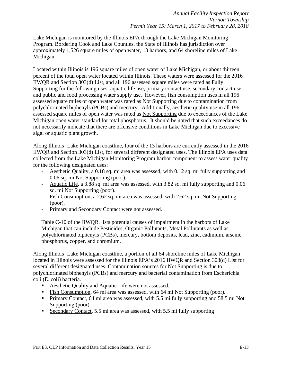Lake Michigan is monitored by the Illinois EPA through the Lake Michigan Monitoring Program. Bordering Cook and Lake Counties, the State of Illinois has jurisdiction over approximately 1,526 square miles of open water, 13 harbors, and 64 shoreline miles of Lake Michigan.

Located within Illinois is 196 square miles of open water of Lake Michigan, or about thirteen percent of the total open water located within Illinois. These waters were assessed for the 2016 IIWQR and Section 303(d) List, and all 196 assessed square miles were rated as Fully Supporting for the following uses: aquatic life use, primary contact use, secondary contact use, and public and food processing water supply use. However, fish consumption uses in all 196 assessed square miles of open water was rated as Not Supporting due to contamination from polychlorinated biphenyls (PCBs) and mercury. Additionally, aesthetic quality use in all 196 assessed square miles of open water was rated as Not Supporting due to exceedances of the Lake Michigan open water standard for total phosphorus. It should be noted that such exceedances do not necessarily indicate that there are offensive conditions in Lake Michigan due to excessive algal or aquatic plant growth.

Along Illinois' Lake Michigan coastline, four of the 13 harbors are currently assessed in the 2016 IIWQR and Section 303(d) List, for several different designated uses. The Illinois EPA uses data collected from the Lake Michigan Monitoring Program harbor component to assess water quality for the following designated uses:

- Aesthetic Quality, a 0.18 sq. mi area was assessed, with 0.12 sq. mi fully supporting and 0.06 sq. mi Not Supporting (poor).
- Aquatic Life, a 3.88 sq. mi area was assessed, with 3.82 sq. mi fully supporting and 0.06 sq. mi Not Supporting (poor).
- Fish Consumption, a 2.62 sq. mi area was assessed, with 2.62 sq. mi Not Supporting (poor).
- Primary and Secondary Contact were not assessed.

Table C-10 of the IIWQR, lists potential causes of impairment in the harbors of Lake Michigan that can include Pesticides, Organic Pollutants, Metal Pollutants as well as polychlorinated biphenyls (PCBs), mercury, bottom deposits, lead, zinc, cadmium, arsenic, phosphorus, copper, and chromium.

Along Illinois' Lake Michigan coastline, a portion of all 64 shoreline miles of Lake Michigan located in Illinois were assessed for the Illinois EPA's 2016 IIWQR and Section 303(d) List for several different designated uses. Contamination sources for Not Supporting is due to polychlorinated biphenyls (PCBs) and mercury and bacterial contamination from Escherichia coli (E. coli) bacteria.

- Aesthetic Quality and Aquatic Life were not assessed.
- Fish Consumption, 64 mi area was assessed, with 64 mi Not Supporting (poor).
- **Primary Contact, 64 mi area was assessed, with 5.5 mi fully supporting and 58.5 mi Not** Supporting (poor).
- Secondary Contact, 5.5 mi area was assessed, with 5.5 mi fully supporting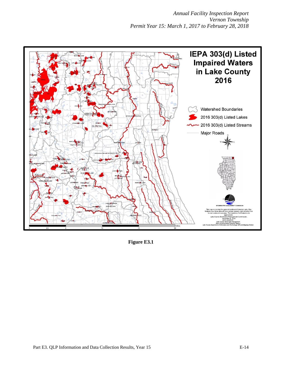*Annual Facility Inspection Report Vernon Township Permit Year 15: March 1, 2017 to February 28, 2018*



**Figure E3.1**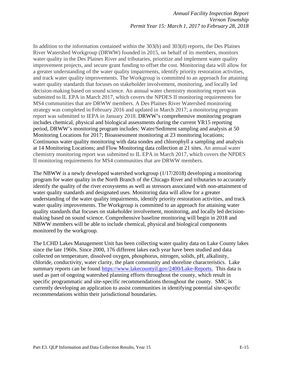In addition to the information contained within the 303(b) and 303(d) reports, the Des Plaines River Watershed Workgroup (DRWW) founded in 2015, on behalf of its members, monitors water quality in the Des Plaines River and tributaries, prioritize and implement water quality improvement projects, and secure grant funding to offset the cost. Monitoring data will allow for a greater understanding of the water quality impairments, identify priority restoration activities, and track water quality improvements. The Workgroup is committed to an approach for attaining water quality standards that focuses on stakeholder involvement, monitoring, and locally led decision-making based on sound science. An annual water chemistry monitoring report was submitted to IL EPA in March 2017, which covers the NPDES II monitoring requirements for MS4 communities that are DRWW members. A Des Plaines River Watershed monitoring strategy was completed in February 2016 and updated in March 2017; a monitoring program report was submitted to IEPA in January 2018. DRWW's comprehensive monitoring program includes chemical, physical and biological assessments during the current YR15 reporting period, DRWW's monitoring program includes: Water/Sediment sampling and analysis at 50 Monitoring Locations for 2017; Bioassessment monitoring at 23 monitoring locations; Continuous water quality monitoring with data sondes and chlorophyll a sampling and analysis at 14 Monitoring Locations; and Flow Monitoring data collection at 21 sites. An annual water chemistry monitoring report was submitted to IL EPA in March 2017, which covers the NPDES II monitoring requirements for MS4 communities that are DRWW members.

The NBWW is a newly developed watershed workgroup (1/17/2018) developing a monitoring program for water quality in the North Branch of the Chicago River and tributaries to accurately identify the quality of the river ecosystems as well as stressors associated with non-attainment of water quality standards and designated uses. Monitoring data will allow for a greater understanding of the water quality impairments, identify priority restoration activities, and track water quality improvements. The Workgroup is committed to an approach for attaining water quality standards that focuses on stakeholder involvement, monitoring, and locally led decisionmaking based on sound science. Comprehensive baseline monitoring will begin in 2018 and NBWW members will be able to include chemical, physical and biological components monitored by the workgroup.

The LCHD Lakes Management Unit has been collecting water quality data on Lake County lakes since the late 1960s. Since 2000, 176 different lakes each year have been studied and data collected on temperature, dissolved oxygen, phosphorus, nitrogen, solids, pH, alkalinity, chloride, conductivity, water clarity, the plant community and shoreline characteristics. Lake summary reports can be found [https://www.lakecountyil.gov/2400/Lake-Reports.](https://www.lakecountyil.gov/2400/Lake-Reports) This data is used as part of ongoing watershed planning efforts throughout the county, which result in specific programmatic and site-specific recommendations throughout the county. SMC is currently developing an application to assist communities in identifying potential site-specific recommendations within their jurisdictional boundaries.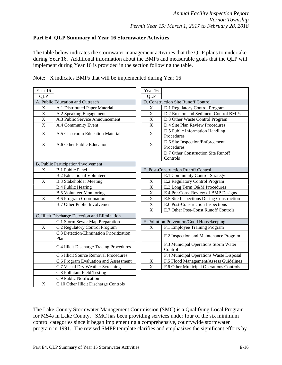### <span id="page-27-0"></span>**Part E4. QLP Summary of Year 16 Stormwater Activities**

The table below indicates the stormwater management activities that the QLP plans to undertake during Year 16. Additional information about the BMPs and measurable goals that the QLP will implement during Year 16 is provided in the section following the table.

| Year 16                 |                                                  | Year 16                   |                                               |
|-------------------------|--------------------------------------------------|---------------------------|-----------------------------------------------|
| <b>OLP</b>              |                                                  | <b>QLP</b>                |                                               |
|                         | A. Public Education and Outreach                 |                           | D. Construction Site Runoff Control           |
| $\mathbf X$             | A.1 Distributed Paper Material                   | $\boldsymbol{\mathrm{X}}$ | D.1 Regulatory Control Program                |
| $\overline{\mathbf{X}}$ | A.2 Speaking Engagement                          | X                         | D.2 Erosion and Sediment Control              |
| $\mathbf X$             | A.3 Public Service Announcement                  | $\mathbf X$               | D.3 Other Waste Control Program               |
| $\mathbf X$             | A.4 Community Event                              | $\mathbf X$               | D.4 Site Plan Review Procedures               |
| X                       | A.5 Classroom Education Material                 | $\mathbf X$               | D.5 Public Information Handling<br>Procedures |
| X                       | A.6 Other Public Education                       | X                         | D.6 Site Inspection/Enforcement<br>Procedures |
|                         |                                                  |                           | D.7 Other Construction Site Runo<br>Controls  |
|                         | B. Public Participation/Involvement              |                           |                                               |
| X                       | <b>B.1 Public Panel</b>                          |                           | E. Post-Construction Runoff Control           |
|                         | <b>B.2 Educational Volunteer</b>                 |                           | E.1 Community Control Strategy                |
| $\mathbf X$             | <b>B.3 Stakeholder Meeting</b>                   | $\mathbf X$               | E.2 Regulatory Control Program                |
|                         | <b>B.4 Public Hearing</b>                        | X                         | E.3 Long Term O&M Procedures                  |
|                         | <b>B.5 Volunteer Monitoring</b>                  | X                         | E.4 Pre-Const Review of BMP De                |
| $\mathbf X$             | <b>B.6 Program Coordination</b>                  | $\mathbf X$               | E.5 Site Inspections During Consti            |
|                         | <b>B.7 Other Public Involvement</b>              | $\mathbf X$               | E.6 Post-Construction Inspections             |
|                         |                                                  | $\mathbf X$               | E.7 Other Post-Const Runoff Cont              |
|                         | C. Illicit Discharge Detection and Elimination   |                           |                                               |
|                         | C.1 Storm Sewer Map Preparation                  |                           | F. Pollution Prevention/Good Housekeeping     |
| $\mathbf X$             | C.2 Regulatory Control Program                   | X                         | F.1 Employee Training Program                 |
|                         | C.3 Detection/Elimination Prioritization<br>Plan |                           | F.2 Inspection and Maintenance P              |
|                         | C.4 Illicit Discharge Tracing Procedures         |                           | F.3 Municipal Operations Storm V<br>Control   |
|                         | C.5 Illicit Source Removal Procedures            |                           | F.4 Municipal Operations Waste L              |
|                         | C.6 Program Evaluation and Assessment            | $\mathbf X$               | F.5 Flood Management/Assess Gu                |
|                         | C.7 Visual Dry Weather Screening                 | $\mathbf X$               | F.6 Other Municipal Operations C              |
|                         | <b>C.8 Pollutant Field Testing</b>               |                           |                                               |
|                         | C.9 Public Notification                          |                           |                                               |
| $\mathbf X$             | C.10 Other Illicit Discharge Controls            |                           |                                               |
|                         |                                                  |                           |                                               |

|  |  | Note: X indicates BMPs that will be implemented during Year 16 |  |  |
|--|--|----------------------------------------------------------------|--|--|
|  |  |                                                                |  |  |

| ar 16                                |                                                  | Year 16                             |                                                 |  |
|--------------------------------------|--------------------------------------------------|-------------------------------------|-------------------------------------------------|--|
| LP                                   |                                                  | QLP                                 |                                                 |  |
| <b>Public Education and Outreach</b> |                                                  | D. Construction Site Runoff Control |                                                 |  |
| $\mathbf X$                          | A.1 Distributed Paper Material                   | $\mathbf X$                         | D.1 Regulatory Control Program                  |  |
|                                      | A.2 Speaking Engagement                          | $\mathbf X$                         | D.2 Erosion and Sediment Control BMPs           |  |
| $\frac{X}{X}$                        | A.3 Public Service Announcement                  | $\mathbf X$                         | D.3 Other Waste Control Program                 |  |
|                                      | A.4 Community Event                              | $\mathbf X$                         | D.4 Site Plan Review Procedures                 |  |
| X                                    | A.5 Classroom Education Material                 | $\mathbf X$                         | D.5 Public Information Handling<br>Procedures   |  |
| X                                    | A.6 Other Public Education                       | X                                   | D.6 Site Inspection/Enforcement<br>Procedures   |  |
|                                      |                                                  |                                     | D.7 Other Construction Site Runoff<br>Controls  |  |
|                                      | Public Participation/Involvement                 |                                     |                                                 |  |
| X                                    | <b>B.1 Public Panel</b>                          | E. Post-Construction Runoff Control |                                                 |  |
|                                      | <b>B.2</b> Educational Volunteer                 |                                     | E.1 Community Control Strategy                  |  |
| $\overline{X}$                       | <b>B.3 Stakeholder Meeting</b>                   | $\mathbf X$                         | E.2 Regulatory Control Program                  |  |
|                                      | <b>B.4 Public Hearing</b>                        | X                                   | E.3 Long Term O&M Procedures                    |  |
|                                      | <b>B.5 Volunteer Monitoring</b>                  | X                                   | E.4 Pre-Const Review of BMP Designs             |  |
| $\overline{\mathrm{X}}$              | <b>B.6 Program Coordination</b>                  | X                                   | E.5 Site Inspections During Construction        |  |
|                                      | <b>B.7 Other Public Involvement</b>              | X                                   | E.6 Post-Construction Inspections               |  |
|                                      |                                                  | $\mathbf X$                         | E.7 Other Post-Const Runoff Controls            |  |
|                                      | Illicit Discharge Detection and Elimination      |                                     |                                                 |  |
|                                      | C.1 Storm Sewer Map Preparation                  |                                     | F. Pollution Prevention/Good Housekeeping       |  |
| $\mathbf{X}$                         | C.2 Regulatory Control Program                   | X                                   | F.1 Employee Training Program                   |  |
|                                      | C.3 Detection/Elimination Prioritization<br>Plan |                                     | F.2 Inspection and Maintenance Program          |  |
|                                      | C.4 Illicit Discharge Tracing Procedures         |                                     | F.3 Municipal Operations Storm Water<br>Control |  |
|                                      | C.5 Illicit Source Removal Procedures            |                                     | F.4 Municipal Operations Waste Disposal         |  |
|                                      | C.6 Program Evaluation and Assessment            | $\mathbf X$                         | F.5 Flood Management/Assess Guidelines          |  |
|                                      | C.7 Visual Dry Weather Screening                 | X                                   | F.6 Other Municipal Operations Controls         |  |
|                                      |                                                  |                                     |                                                 |  |

The Lake County Stormwater Management Commission (SMC) is a Qualifying Local Program for MS4s in Lake County. SMC has been providing services under four of the six minimum control categories since it began implementing a comprehensive, countywide stormwater program in 1991. The revised SMPP template clarifies and emphasizes the significant efforts by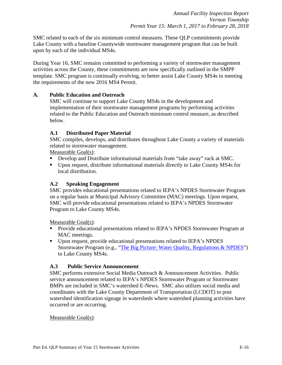SMC related to each of the six minimum control measures. These QLP commitments provide Lake County with a baseline Countywide stormwater management program that can be built upon by each of the individual MS4s.

During Year 16, SMC remains committed to performing a variety of stormwater management activities across the County, these commitments are now specifically outlined in the SMPP template. SMC program is continually evolving, to better assist Lake County MS4s in meeting the requirements of the new 2016 MS4 Permit.

### **A. Public Education and Outreach**

SMC will continue to support Lake County MS4s in the development and implementation of their stormwater management programs by performing activities related to the Public Education and Outreach minimum control measure, as described below.

### **A.1 Distributed Paper Material**

SMC compiles, develops, and distributes throughout Lake County a variety of materials related to stormwater management.

Measurable Goal(s):

- Develop and Distribute informational materials from "take away" rack at SMC.
- Upon request, distribute informational materials directly to Lake County MS4s for local distribution.

### **A.2 Speaking Engagement**

SMC provides educational presentations related to IEPA's NPDES Stormwater Program on a regular basis at Municipal Advisory Committee (MAC) meetings. Upon request, SMC will provide educational presentations related to IEPA's NPDES Stormwater Program to Lake County MS4s.

Measurable Goal(s):

- Provide educational presentations related to IEPA's NPDES Stormwater Program at MAC meetings.
- Upon request, provide educational presentations related to IEPA's NPDES Stormwater Program (e.g., ["The Big Picture: Water Quality, Regulations & NPDES"](https://lakecountyil.gov/DocumentCenter/View/16533)) to Lake County MS4s.

#### **A.3 Public Service Announcement**

SMC performs extensive Social Media Outreach & Announcement Activities. Public service announcement related to IEPA's NPDES Stormwater Program or Stormwater BMPs are included in SMC's watershed E-News. SMC also utilizes social media and coordinates with the Lake County Department of Transportation (LCDOT) to post watershed identification signage in watersheds where watershed planning activities have occurred or are occurring.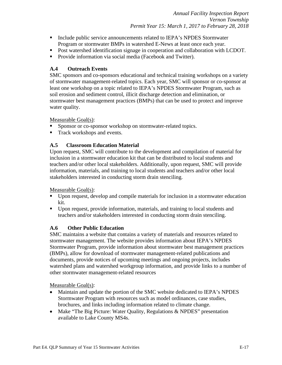- **Include public service announcements related to IEPA's NPDES Stormwater** Program or stormwater BMPs in watershed E-News at least once each year.
- Post watershed identification signage in cooperation and collaboration with LCDOT.
- **Provide information via social media (Facebook and Twitter).**

### **A.4 Outreach Events**

SMC sponsors and co-sponsors educational and technical training workshops on a variety of stormwater management-related topics. Each year, SMC will sponsor or co-sponsor at least one workshop on a topic related to IEPA's NPDES Stormwater Program, such as soil erosion and sediment control, illicit discharge detection and elimination, or stormwater best management practices (BMPs) that can be used to protect and improve water quality.

Measurable Goal(s):

- **Sponsor or co-sponsor workshop on stormwater-related topics.**
- **Track workshops and events.**

### **A.5 Classroom Education Material**

Upon request, SMC will contribute to the development and compilation of material for inclusion in a stormwater education kit that can be distributed to local students and teachers and/or other local stakeholders. Additionally, upon request, SMC will provide information, materials, and training to local students and teachers and/or other local stakeholders interested in conducting storm drain stenciling.

Measurable Goal(s):

- Upon request, develop and compile materials for inclusion in a stormwater education kit.
- Upon request, provide information, materials, and training to local students and teachers and/or stakeholders interested in conducting storm drain stenciling.

### **A.6 Other Public Education**

SMC maintains a website that contains a variety of materials and resources related to stormwater management. The website provides information about IEPA's NPDES Stormwater Program, provide information about stormwater best management practices (BMPs), allow for download of stormwater management-related publications and documents, provide notices of upcoming meetings and ongoing projects, includes watershed plans and watershed workgroup information, and provide links to a number of other stormwater management-related resources

- Maintain and update the portion of the SMC website dedicated to IEPA's NPDES Stormwater Program with resources such as model ordinances, case studies, brochures, and links including information related to climate change.
- Make "The Big Picture: Water Quality, Regulations & NPDES" presentation available to Lake County MS4s.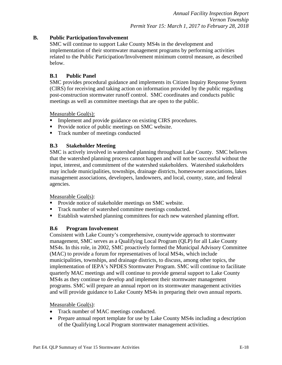### **B. Public Participation/Involvement**

SMC will continue to support Lake County MS4s in the development and implementation of their stormwater management programs by performing activities related to the Public Participation/Involvement minimum control measure, as described below.

### **B.1 Public Panel**

SMC provides procedural guidance and implements its Citizen Inquiry Response System (CIRS) for receiving and taking action on information provided by the public regarding post-construction stormwater runoff control. SMC coordinates and conducts public meetings as well as committee meetings that are open to the public.

Measurable Goal(s):

- Implement and provide guidance on existing CIRS procedures.
- **Provide notice of public meetings on SMC website.**
- Track number of meetings conducted

### **B.3 Stakeholder Meeting**

SMC is actively involved in watershed planning throughout Lake County. SMC believes that the watershed planning process cannot happen and will not be successful without the input, interest, and commitment of the watershed stakeholders. Watershed stakeholders may include municipalities, townships, drainage districts, homeowner associations, lakes management associations, developers, landowners, and local, county, state, and federal agencies.

Measurable Goal(s):

- **Provide notice of stakeholder meetings on SMC website.**
- Track number of watershed committee meetings conducted.
- Establish watershed planning committees for each new watershed planning effort.

### **B.6 Program Involvement**

Consistent with Lake County's comprehensive, countywide approach to stormwater management, SMC serves as a Qualifying Local Program (QLP) for all Lake County MS4s. In this role, in 2002, SMC proactively formed the Municipal Advisory Committee (MAC) to provide a forum for representatives of local MS4s, which include municipalities, townships, and drainage districts, to discuss, among other topics, the implementation of IEPA's NPDES Stormwater Program. SMC will continue to facilitate quarterly MAC meetings and will continue to provide general support to Lake County MS4s as they continue to develop and implement their stormwater management programs. SMC will prepare an annual report on its stormwater management activities and will provide guidance to Lake County MS4s in preparing their own annual reports.

- Track number of MAC meetings conducted.
- Prepare annual report template for use by Lake County MS4s including a description of the Qualifying Local Program stormwater management activities.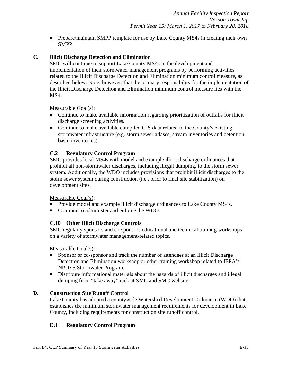• Prepare/maintain SMPP template for use by Lake County MS4s in creating their own SMPP.

### **C. Illicit Discharge Detection and Elimination**

SMC will continue to support Lake County MS4s in the development and implementation of their stormwater management programs by performing activities related to the Illicit Discharge Detection and Elimination minimum control measure, as described below. Note, however, that the primary responsibility for the implementation of the Illicit Discharge Detection and Elimination minimum control measure lies with the MS4.

Measurable Goal(s):

- Continue to make available information regarding prioritization of outfalls for illicit discharge screening activities.
- Continue to make available compiled GIS data related to the County's existing stormwater infrastructure (e.g. storm sewer atlases, stream inventories and detention basin inventories).

### **C.2 Regulatory Control Program**

SMC provides local MS4s with model and example illicit discharge ordinances that prohibit all non-stormwater discharges, including illegal dumping, to the storm sewer system. Additionally, the WDO includes provisions that prohibit illicit discharges to the storm sewer system during construction (i.e., prior to final site stabilization) on development sites.

#### Measurable Goal(s):

- **Provide model and example illicit discharge ordinances to Lake County MS4s.**
- Continue to administer and enforce the WDO.

#### **C.10 Other Illicit Discharge Controls**

SMC regularly sponsors and co-sponsors educational and technical training workshops on a variety of stormwater management-related topics.

Measurable Goal(s):

- Sponsor or co-sponsor and track the number of attendees at an Illicit Discharge Detection and Elimination workshop or other training workshop related to IEPA's NPDES Stormwater Program.
- Distribute informational materials about the hazards of illicit discharges and illegal dumping from "take away" rack at SMC and SMC website.

#### **D. Construction Site Runoff Control**

Lake County has adopted a countywide Watershed Development Ordinance (WDO) that establishes the minimum stormwater management requirements for development in Lake County, including requirements for construction site runoff control.

#### **D.1 Regulatory Control Program**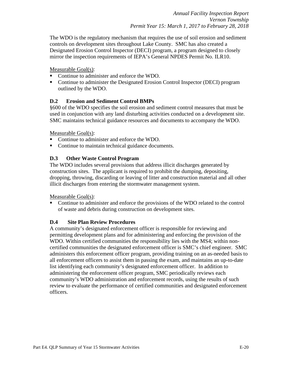The WDO is the regulatory mechanism that requires the use of soil erosion and sediment controls on development sites throughout Lake County. SMC has also created a Designated Erosion Control Inspector (DECI) program, a program designed to closely mirror the inspection requirements of IEPA's General NPDES Permit No. ILR10.

#### Measurable Goal(s):

- Continue to administer and enforce the WDO.
- Continue to administer the Designated Erosion Control Inspector (DECI) program outlined by the WDO.

### **D.2 Erosion and Sediment Control BMPs**

§600 of the WDO specifies the soil erosion and sediment control measures that must be used in conjunction with any land disturbing activities conducted on a development site. SMC maintains technical guidance resources and documents to accompany the WDO.

Measurable Goal(s):

- Continue to administer and enforce the WDO.
- Continue to maintain technical guidance documents.

### **D.3 Other Waste Control Program**

The WDO includes several provisions that address illicit discharges generated by construction sites. The applicant is required to prohibit the dumping, depositing, dropping, throwing, discarding or leaving of litter and construction material and all other illicit discharges from entering the stormwater management system.

Measurable Goal(s):

 Continue to administer and enforce the provisions of the WDO related to the control of waste and debris during construction on development sites.

#### **D.4 Site Plan Review Procedures**

A community's designated enforcement officer is responsible for reviewing and permitting development plans and for administering and enforcing the provision of the WDO. Within certified communities the responsibility lies with the MS4; within noncertified communities the designated enforcement officer is SMC's chief engineer. SMC administers this enforcement officer program, providing training on an as-needed basis to all enforcement officers to assist them in passing the exam, and maintains an up-to-date list identifying each community's designated enforcement officer. In addition to administering the enforcement officer program, SMC periodically reviews each community's WDO administration and enforcement records, using the results of such review to evaluate the performance of certified communities and designated enforcement officers.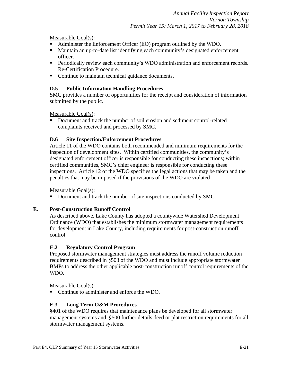Measurable Goal(s):

- Administer the Enforcement Officer (EO) program outlined by the WDO.
- Maintain an up-to-date list identifying each community's designated enforcement officer.
- **Periodically review each community's WDO administration and enforcement records.** Re-Certification Procedure.
- Continue to maintain technical guidance documents.

### **D.5 Public Information Handling Procedures**

SMC provides a number of opportunities for the receipt and consideration of information submitted by the public.

Measurable Goal(s):

 Document and track the number of soil erosion and sediment control-related complaints received and processed by SMC.

### **D.6 Site Inspection/Enforcement Procedures**

Article 11 of the WDO contains both recommended and minimum requirements for the inspection of development sites. Within certified communities, the community's designated enforcement officer is responsible for conducting these inspections; within certified communities, SMC's chief engineer is responsible for conducting these inspections. Article 12 of the WDO specifies the legal actions that may be taken and the penalties that may be imposed if the provisions of the WDO are violated

### Measurable Goal(s):

Document and track the number of site inspections conducted by SMC.

### **E. Post-Construction Runoff Control**

As described above, Lake County has adopted a countywide Watershed Development Ordinance (WDO) that establishes the minimum stormwater management requirements for development in Lake County, including requirements for post-construction runoff control.

### **E.2 Regulatory Control Program**

Proposed stormwater management strategies must address the runoff volume reduction requirements described in §503 of the WDO and must include appropriate stormwater BMPs to address the other applicable post-construction runoff control requirements of the WDO.

Measurable Goal(s):

• Continue to administer and enforce the WDO.

### **E.3 Long Term O&M Procedures**

§401 of the WDO requires that maintenance plans be developed for all stormwater management systems and, §500 further details deed or plat restriction requirements for all stormwater management systems.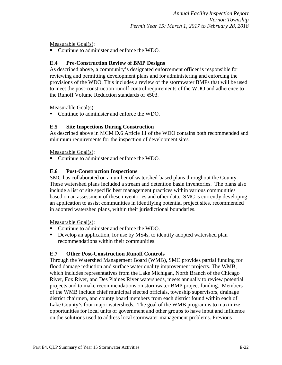Measurable Goal(s):

■ Continue to administer and enforce the WDO.

### **E.4 Pre-Construction Review of BMP Designs**

As described above, a community's designated enforcement officer is responsible for reviewing and permitting development plans and for administering and enforcing the provisions of the WDO. This includes a review of the stormwater BMPs that will be used to meet the post-construction runoff control requirements of the WDO and adherence to the Runoff Volume Reduction standards of §503.

Measurable Goal(s):

• Continue to administer and enforce the WDO.

### **E.5 Site Inspections During Construction**

As described above in MCM D.6 Article 11 of the WDO contains both recommended and minimum requirements for the inspection of development sites.

Measurable Goal(s):

• Continue to administer and enforce the WDO.

### **E.6 Post-Construction Inspections**

SMC has collaborated on a number of watershed-based plans throughout the County. These watershed plans included a stream and detention basin inventories. The plans also include a list of site specific best management practices within various communities based on an assessment of these inventories and other data. SMC is currently developing an application to assist communities in identifying potential project sites, recommended in adopted watershed plans, within their jurisdictional boundaries.

Measurable Goal(s):

- Continue to administer and enforce the WDO.
- Develop an application, for use by MS4s, to identify adopted watershed plan recommendations within their communities.

### **E.7 Other Post-Construction Runoff Controls**

Through the Watershed Management Board (WMB), SMC provides partial funding for flood damage reduction and surface water quality improvement projects. The WMB, which includes representatives from the Lake Michigan, North Branch of the Chicago River, Fox River, and Des Plaines River watersheds, meets annually to review potential projects and to make recommendations on stormwater BMP project funding. Members of the WMB include chief municipal elected officials, township supervisors, drainage district chairmen, and county board members from each district found within each of Lake County's four major watersheds. The goal of the WMB program is to maximize opportunities for local units of government and other groups to have input and influence on the solutions used to address local stormwater management problems. Previous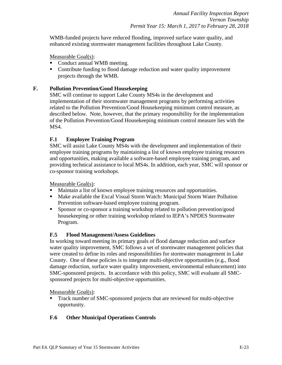WMB-funded projects have reduced flooding, improved surface water quality, and enhanced existing stormwater management facilities throughout Lake County.

Measurable Goal(s):

- Conduct annual WMB meeting.
- Contribute funding to flood damage reduction and water quality improvement projects through the WMB.

### **F. Pollution Prevention/Good Housekeeping**

SMC will continue to support Lake County MS4s in the development and implementation of their stormwater management programs by performing activities related to the Pollution Prevention/Good Housekeeping minimum control measure, as described below. Note, however, that the primary responsibility for the implementation of the Pollution Prevention/Good Housekeeping minimum control measure lies with the MS4.

### **F.1 Employee Training Program**

SMC will assist Lake County MS4s with the development and implementation of their employee training programs by maintaining a list of known employee training resources and opportunities, making available a software-based employee training program, and providing technical assistance to local MS4s. In addition, each year, SMC will sponsor or co-sponsor training workshops.

Measurable Goal(s):

- Maintain a list of known employee training resources and opportunities.
- **Make available the Excal Visual Storm Watch: Municipal Storm Water Pollution** Prevention software-based employee training program.
- Sponsor or co-sponsor a training workshop related to pollution prevention/good housekeeping or other training workshop related to IEPA's NPDES Stormwater Program.

### **F.5 Flood Management/Assess Guidelines**

In working toward meeting its primary goals of flood damage reduction and surface water quality improvement, SMC follows a set of stormwater management policies that were created to define its roles and responsibilities for stormwater management in Lake County. One of these policies is to integrate multi-objective opportunities (e.g., flood damage reduction, surface water quality improvement, environmental enhancement) into SMC-sponsored projects. In accordance with this policy, SMC will evaluate all SMCsponsored projects for multi-objective opportunities.

Measurable Goal(s):

 Track number of SMC-sponsored projects that are reviewed for multi-objective opportunity.

### **F.6 Other Municipal Operations Controls**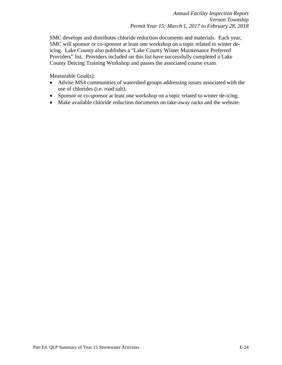SMC develops and distributes chloride reduction documents and materials. Each year, SMC will sponsor or co-sponsor at least one workshop on a topic related to winter deicing. Lake County also publishes a "Lake County Winter Maintenance Preferred Providers" list. Providers included on this list have successfully completed a Lake County Deicing Training Workshop and passes the associated course exam.

- Advise MS4 communities of watershed groups addressing issues associated with the use of chlorides (i.e. road salt).
- Sponsor or co-sponsor at least one workshop on a topic related to winter de-icing.
- Make available chloride reduction documents on take-away racks and the website.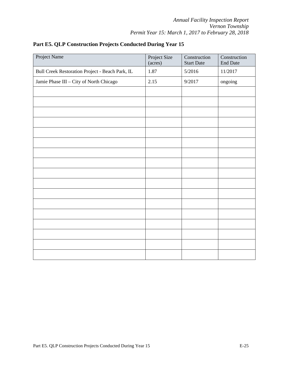| Project Name                                    | Project Size<br>(acres) | Construction<br><b>Start Date</b> | Construction<br><b>End Date</b> |
|-------------------------------------------------|-------------------------|-----------------------------------|---------------------------------|
| Bull Creek Restoration Project - Beach Park, IL | 1.87                    | 5/2016                            | 11/2017                         |
| Jamie Phase III - City of North Chicago         | 2.15                    | 9/2017                            | ongoing                         |
|                                                 |                         |                                   |                                 |
|                                                 |                         |                                   |                                 |
|                                                 |                         |                                   |                                 |
|                                                 |                         |                                   |                                 |
|                                                 |                         |                                   |                                 |
|                                                 |                         |                                   |                                 |
|                                                 |                         |                                   |                                 |
|                                                 |                         |                                   |                                 |
|                                                 |                         |                                   |                                 |
|                                                 |                         |                                   |                                 |
|                                                 |                         |                                   |                                 |
|                                                 |                         |                                   |                                 |
|                                                 |                         |                                   |                                 |
|                                                 |                         |                                   |                                 |
|                                                 |                         |                                   |                                 |
|                                                 |                         |                                   |                                 |
|                                                 |                         |                                   |                                 |

<span id="page-37-0"></span>**Part E5. QLP Construction Projects Conducted During Year 15**